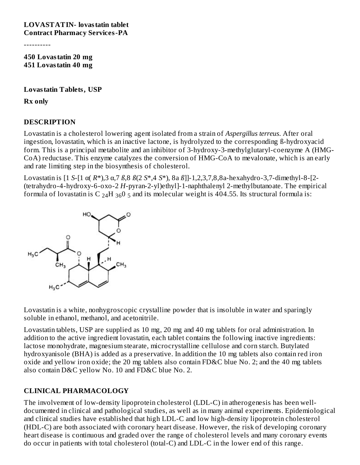----------

**450 Lovastatin 20 mg 451 Lovastatin 40 mg**

**Lovastatin Tablets, USP**

**Rx only**

#### **DESCRIPTION**

Lovastatin is a cholesterol lowering agent isolated from a strain of *Aspergillus terreus*. After oral ingestion, lovastatin, which is an inactive lactone, is hydrolyzed to the corresponding ß-hydroxyacid form. This is a principal metabolite and an inhibitor of 3-hydroxy-3-methylglutaryl-coenzyme A (HMG-CoA) reductase. This enzyme catalyzes the conversion of HMG-CoA to mevalonate, which is an early and rate limiting step in the biosynthesis of cholesterol.

Lovastatin is [1 *S*-[1 α( *R*\*),3 α,7 *ß*,8 *ß*(2 *S*\*,4 *S*\*), 8a *ß*]]-1,2,3,7,8,8a-hexahydro-3,7-dimethyl-8-[2- (tetrahydro-4-hydroxy-6-oxo-2 *H*-pyran-2-yl)ethyl]-1-naphthalenyl 2-methylbutanoate. The empirical formula of lovastatin is C  $_{24}$ H  $_{36}$ O  $_{5}$  and its molecular weight is 404.55. Its structural formula is:



Lovastatin is a white, nonhygroscopic crystalline powder that is insoluble in water and sparingly soluble in ethanol, methanol, and acetonitrile.

Lovastatin tablets, USP are supplied as 10 mg, 20 mg and 40 mg tablets for oral administration. In addition to the active ingredient lovastatin, each tablet contains the following inactive ingredients: lactose monohydrate, magnesium stearate, microcrystalline cellulose and corn starch. Butylated hydroxyanisole (BHA) is added as a preservative. In addition the 10 mg tablets also contain red iron oxide and yellow iron oxide; the 20 mg tablets also contain FD&C blue No. 2; and the 40 mg tablets also contain D&C yellow No. 10 and FD&C blue No. 2.

#### **CLINICAL PHARMACOLOGY**

The involvement of low-density lipoprotein cholesterol (LDL-C) in atherogenesis has been welldocumented in clinical and pathological studies, as well as in many animal experiments. Epidemiological and clinical studies have established that high LDL-C and low high-density lipoprotein cholesterol (HDL-C) are both associated with coronary heart disease. However, the risk of developing coronary heart disease is continuous and graded over the range of cholesterol levels and many coronary events do occur in patients with total cholesterol (total-C) and LDL-C in the lower end of this range.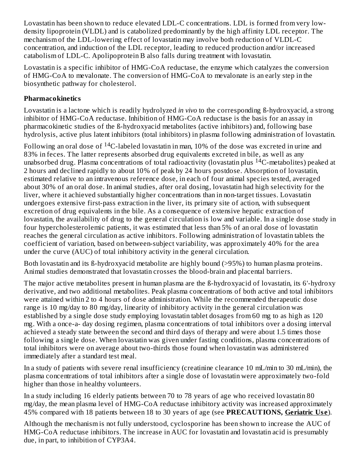Lovastatin has been shown to reduce elevated LDL-C concentrations. LDL is formed from very lowdensity lipoprotein (VLDL) and is catabolized predominantly by the high affinity LDL receptor. The mechanism of the LDL-lowering effect of lovastatin may involve both reduction of VLDL-C concentration, and induction of the LDL receptor, leading to reduced production and/or increased catabolism of LDL-C. Apolipoprotein B also falls during treatment with lovastatin.

Lovastatin is a specific inhibitor of HMG-CoA reductase, the enzyme which catalyzes the conversion of HMG-CoA to mevalonate. The conversion of HMG-CoA to mevalonate is an early step in the biosynthetic pathway for cholesterol.

#### **Pharmacokinetics**

Lovastatin is a lactone which is readily hydrolyzed *in vivo* to the corresponding ß-hydroxyacid, a strong inhibitor of HMG-CoA reductase. Inhibition of HMG-CoA reductase is the basis for an assay in pharmacokinetic studies of the ß-hydroxyacid metabolites (active inhibitors) and, following base hydrolysis, active plus latent inhibitors (total inhibitors) in plasma following administration of lovastatin.

Following an oral dose of  $\rm ^{14}C$ -labeled lovastatin in man, 10% of the dose was excreted in urine and 83% in feces. The latter represents absorbed drug equivalents excreted in bile, as well as any unabsorbed drug. Plasma concentrations of total radioactivity (lovastatin plus  $^{14}$ C-metabolites) peaked at 2 hours and declined rapidly to about 10% of peak by 24 hours postdose. Absorption of lovastatin, estimated relative to an intravenous reference dose, in each of four animal species tested, averaged about 30% of an oral dose. In animal studies, after oral dosing, lovastatin had high selectivity for the liver, where it achieved substantially higher concentrations than in non-target tissues. Lovastatin undergoes extensive first-pass extraction in the liver, its primary site of action, with subsequent excretion of drug equivalents in the bile. As a consequence of extensive hepatic extraction of lovastatin, the availability of drug to the general circulation is low and variable. In a single dose study in four hypercholesterolemic patients, it was estimated that less than 5% of an oral dose of lovastatin reaches the general circulation as active inhibitors. Following administration of lovastatin tablets the coefficient of variation, based on between-subject variability, was approximately 40% for the area under the curve (AUC) of total inhibitory activity in the general circulation.

Both lovastatin and its ß-hydroxyacid metabolite are highly bound (>95%) to human plasma proteins. Animal studies demonstrated that lovastatin crosses the blood-brain and placental barriers.

The major active metabolites present in human plasma are the ß-hydroxyacid of lovastatin, its 6'-hydroxy derivative, and two additional metabolites. Peak plasma concentrations of both active and total inhibitors were attained within 2 to 4 hours of dose administration. While the recommended therapeutic dose range is 10 mg/day to 80 mg/day, linearity of inhibitory activity in the general circulation was established by a single dose study employing lovastatin tablet dosages from 60 mg to as high as 120 mg. With a once-a- day dosing regimen, plasma concentrations of total inhibitors over a dosing interval achieved a steady state between the second and third days of therapy and were about 1.5 times those following a single dose. When lovastatin was given under fasting conditions, plasma concentrations of total inhibitors were on average about two-thirds those found when lovastatin was administered immediately after a standard test meal.

In a study of patients with severe renal insufficiency (creatinine clearance 10 mL/min to 30 mL/min), the plasma concentrations of total inhibitors after a single dose of lovastatin were approximately two-fold higher than those in healthy volunteers.

In a study including 16 elderly patients between 70 to 78 years of age who received lovastatin 80 mg/day, the mean plasma level of HMG-CoA reductase inhibitory activity was increased approximately 45% compared with 18 patients between 18 to 30 years of age (see **PRECAUTIONS, Geriatric Us e**).

Although the mechanism is not fully understood, cyclosporine has been shown to increase the AUC of HMG-CoA reductase inhibitors. The increase in AUC for lovastatin and lovastatin acid is presumably due, in part, to inhibition of CYP3A4.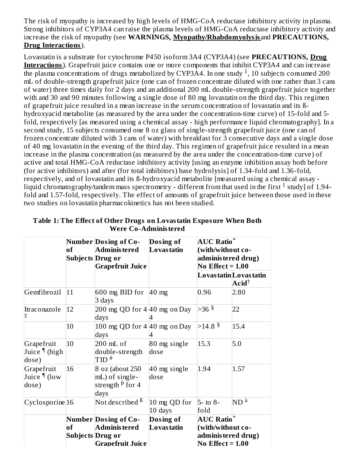The risk of myopathy is increased by high levels of HMG-CoA reductase inhibitory activity in plasma. Strong inhibitors of CYP3A4 can raise the plasma levels of HMG-CoA reductase inhibitory activity and increase the risk of myopathy (see **WARNINGS, Myopathy/Rhabdomyolysis** and **PRECAUTIONS, Drug Interactions**).

Lovastatin is a substrate for cytochrome P450 isoform 3A4 (CYP3A4) (see **PRECAUTIONS, Drug Interactions**). Grapefruit juice contains one or more components that inhibit CYP3A4 and can increase the plasma concentrations of drugs metabolized by CYP3A4. In one study <sup>1</sup>, 10 subjects consumed 200 mL of double-strength grapefruit juice (one can of frozen concentrate diluted with one rather than 3 cans of water) three times daily for 2 days and an additional 200 mL double-strength grapefruit juice together with and 30 and 90 minutes following a single dose of 80 mg lovastatin on the third day. This regimen of grapefruit juice resulted in a mean increase in the serum concentration of lovastatin and its ßhydroxyacid metabolite (as measured by the area under the concentration-time curve) of 15-fold and 5 fold, respectively [as measured using a chemical assay - high performance liquid chromatography]. In a second study, 15 subjects consumed one 8 oz glass of single-strength grapefruit juice (one can of frozen concentrate diluted with 3 cans of water) with breakfast for 3 consecutive days and a single dose of 40 mg lovastatin in the evening of the third day. This regimen of grapefruit juice resulted in a mean increase in the plasma concentration (as measured by the area under the concentration-time curve) of active and total HMG-CoA reductase inhibitory activity [using an enzyme inhibition assay both before (for active inhibitors) and after (for total inhibitors) base hydrolysis] of 1.34-fold and 1.36-fold, respectively, and of lovastatin and its ß-hydroxyacid metabolite [measured using a chemical assay liquid chromatography/tandem mass spectrometry - different from that used in the first  $^1$  study] of 1.94fold and 1.57-fold, respectively. The effect of amounts of grapefruit juice between those used in these two studies on lovastatin pharmacokinetics has not been studied.

|                                             | of | <b>Number Dosing of Co-</b><br>Adminis tered<br>Subjects Drug or<br><b>Grapefruit Juice</b> | Dosing of<br><b>Lovastatin</b> | <b>AUC Ratio</b> *<br>(with/without co-<br>adminis tered drug)<br>No Effect = $1.00$ |                                                      |  |
|---------------------------------------------|----|---------------------------------------------------------------------------------------------|--------------------------------|--------------------------------------------------------------------------------------|------------------------------------------------------|--|
|                                             |    |                                                                                             |                                |                                                                                      | Lovas tatin Lovas tatin<br>$\mathbf{Acid}^{\dagger}$ |  |
| Gemfibrozil                                 | 11 | 600 mg BID for $ 40 \text{ mg}$<br>3 days                                                   |                                | 0.96                                                                                 | 2.80                                                 |  |
| Itraconazole<br>$\ddagger$                  | 12 | 200 mg QD for $4 40$ mg on Day<br>days                                                      |                                | $>36$ §                                                                              | 22                                                   |  |
|                                             | 10 | 100 mg QD for $4 40$ mg on Day<br>days                                                      |                                | $>14.8$ $\frac{8}{3}$                                                                | 15.4                                                 |  |
| Grapefruit<br>Juice <i>I</i> (high<br>dose) | 10 | 200 mL of<br>double-strength<br>$TID$ <sup>#</sup>                                          | 80 mg single<br>dose           | 15.3                                                                                 | 5.0                                                  |  |
| Grapefruit<br>Juice ¶ (low<br>dose)         | 16 | 8 oz (about 250<br>mL) of single-<br>strength <sup>Þ</sup> for 4<br>days                    | 40 mg single<br>dose           | 1.94                                                                                 | 1.57                                                 |  |
| $Cyclosporine$ <sup>16</sup>                |    | Not described <sup>ß</sup>                                                                  | 10 mg QD for<br>10 days        | $5 -$ to 8-<br>fold                                                                  | $ND^{\grave{a}}$                                     |  |
|                                             | of | <b>Number Dosing of Co-</b><br>Adminis tered<br>Subjects Drug or                            | Dosing of<br><b>Lovastatin</b> | <b>AUC Ratio</b> *<br>(with/without co-<br>adminis tered drug)                       |                                                      |  |
|                                             |    | <b>Grapefruit Juice</b>                                                                     |                                | No Effect $= 1.00$                                                                   |                                                      |  |

**Table 1: The Effect of Other Drugs on Lovastatin Exposure When Both Were Co-Administered**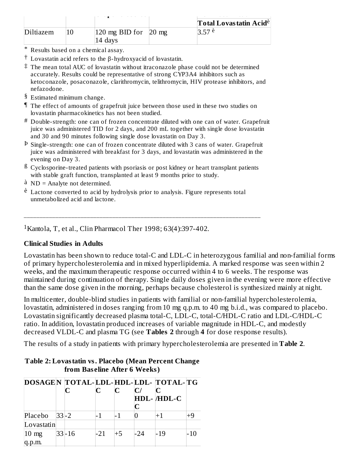|           |                                                        | Total Lovas tatin Acid <sup>è</sup> |
|-----------|--------------------------------------------------------|-------------------------------------|
| Diltiazem | $ 120 \text{ mg BID}$ for $ 20 \text{ mg} $<br>14 days | 3.57 e                              |

- \* Results based on a chemical assay.
- $\dagger$  Lovastatin acid refers to the β-hydroxyacid of lovastatin.
- ‡ The mean total AUC of lovastatin without itraconazole phase could not be determined accurately. Results could be representative of strong CYP3A4 inhibitors such as ketoconazole, posaconazole, clarithromycin, telithromycin, HIV protease inhibitors, and nefazodone.
- § Estimated minimum change.
- ¶ The effect of amounts of grapefruit juice between those used in these two studies on lovastatin pharmacokinetics has not been studied.
- $^\#$  Double-strength: one can of frozen concentrate diluted with one can of water. Grapefruit juice was administered TID for 2 days, and 200 mL together with single dose lovastatin and 30 and 90 minutes following single dose lovastatin on Day 3.
- <sup>p</sup> Single-strength: one can of frozen concentrate diluted with 3 cans of water. Grapefruit juice was administered with breakfast for 3 days, and lovastatin was administered in the evening on Day 3.
- $^{\text{B}}$  Cyclosporine-treated patients with psoriasis or post kidney or heart transplant patients with stable graft function, transplanted at least 9 months prior to study.

\_\_\_\_\_\_\_\_\_\_\_\_\_\_\_\_\_\_\_\_\_\_\_\_\_\_\_\_\_\_\_\_\_\_\_\_\_\_\_\_\_\_\_\_\_\_\_\_\_\_\_\_\_\_\_\_\_\_\_\_\_\_\_\_\_\_\_\_\_\_\_\_\_\_\_

- à ND = Analyte not determined.
- è Lactone converted to acid by hydrolysis prior to analysis. Figure represents total unmetabolized acid and lactone.

<sup>1</sup> Kantola, T, et al., Clin Pharmacol Ther 1998; 63(4):397-402.

#### **Clinical Studies in Adults**

Lovastatin has been shown to reduce total-C and LDL-C in heterozygous familial and non-familial forms of primary hypercholesterolemia and in mixed hyperlipidemia. A marked response was seen within 2 weeks, and the maximum therapeutic response occurred within 4 to 6 weeks. The response was maintained during continuation of therapy. Single daily doses given in the evening were more effective than the same dose given in the morning, perhaps because cholesterol is synthesized mainly at night.

In multicenter, double-blind studies in patients with familial or non-familial hypercholesterolemia, lovastatin, administered in doses ranging from 10 mg q.p.m. to 40 mg b.i.d., was compared to placebo. Lovastatin significantly decreased plasma total-C, LDL-C, total-C/HDL-C ratio and LDL-C/HDL-C ratio. In addition, lovastatin produced increases of variable magnitude in HDL-C, and modestly decreased VLDL-C and plasma TG (see **Tables 2** through **4** for dose response results).

The results of a study in patients with primary hypercholesterolemia are presented in **Table 2**.

| DOSAGEN TOTAL-LDL-HDL-LDL- TOTAL-TG |           |       |      |     |            |  |
|-------------------------------------|-----------|-------|------|-----|------------|--|
|                                     |           | C     | C    |     |            |  |
|                                     |           |       |      |     | HDL-/HDL-C |  |
|                                     |           |       |      |     |            |  |
| Placebo $ 33 -2$                    |           |       |      |     |            |  |
| Lovastatin                          |           |       |      |     |            |  |
| $10 \text{ mg}$                     | $33 - 16$ | $-21$ | $+5$ | -24 | $-19$      |  |
|                                     |           |       |      |     |            |  |

#### **Table 2: Lovastatin vs. Placebo (Mean Percent Change from Bas eline After 6 Weeks)**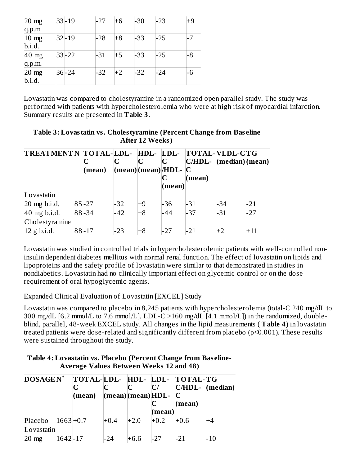| $20 \text{ mg}$ | $ 33-19$   | $-27$ | $+6$ | $-30$ | $-23$ | $+9$ |
|-----------------|------------|-------|------|-------|-------|------|
| q.p.m.          |            |       |      |       |       |      |
| $10 \text{ mg}$ | $ 32 - 19$ | $-28$ | $+8$ | -33   | -25   | $-7$ |
| b.i.d.          |            |       |      |       |       |      |
| $40 \text{ mg}$ | $33 - 22$  | $-31$ | $+5$ | -33   | -25   | -8   |
| q.p.m.          |            |       |      |       |       |      |
| $20 \text{ mg}$ | 36-24      | $-32$ | $+2$ | $-32$ | -24   | -6   |
| b.i.d.          |            |       |      |       |       |      |

Lovastatin was compared to cholestyramine in a randomized open parallel study. The study was performed with patients with hypercholesterolemia who were at high risk of myocardial infarction. Summary results are presented in **Table 3**.

**Table 3: Lovastatin vs. Cholestyramine (Percent Change from Bas eline After 12 Weeks)**

| <b>TREATMENTN</b> |           |       |      |                      | TOTAL-LDL- HDL- LDL- TOTAL-WLDL-CTG |      |       |
|-------------------|-----------|-------|------|----------------------|-------------------------------------|------|-------|
|                   |           |       |      |                      | $ C/HDL- (median) (mean)$           |      |       |
|                   | (mean)    |       |      | (mean)(mean)/HDL-  C |                                     |      |       |
|                   |           |       |      |                      | (mean)                              |      |       |
|                   |           |       |      | (mean)               |                                     |      |       |
| Lovastatin        |           |       |      |                      |                                     |      |       |
| $20$ mg b.i.d.    | $85 - 27$ | $-32$ | $+9$ | -36                  | -31                                 | -34  | $-21$ |
| 40 mg b.i.d.      | 88-34     | $-42$ | $+8$ | -44                  | $-37$                               | -31  | $-27$ |
| Cholestyramine    |           |       |      |                      |                                     |      |       |
| 12 g b.i.d.       | 88-17     | $-23$ | $+8$ | -27                  | $-21$                               | $+2$ | $+11$ |

Lovastatin was studied in controlled trials in hypercholesterolemic patients with well-controlled noninsulin dependent diabetes mellitus with normal renal function. The effect of lovastatin on lipids and lipoproteins and the safety profile of lovastatin were similar to that demonstrated in studies in nondiabetics. Lovastatin had no clinically important effect on glycemic control or on the dose requirement of oral hypoglycemic agents.

Expanded Clinical Evaluation of Lovastatin [EXCEL] Study

Lovastatin was compared to placebo in 8,245 patients with hypercholesterolemia (total-C 240 mg/dL to 300 mg/dL [6.2 mmol/L to 7.6 mmol/L], LDL-C >160 mg/dL [4.1 mmol/L]) in the randomized, doubleblind, parallel, 48-week EXCEL study. All changes in the lipid measurements ( **Table 4**) in lovastatin treated patients were dose-related and significantly different from placebo (p<0.001). These results were sustained throughout the study.

| Table 4: Lovastatin vs. Placebo (Percent Change from Baseline- |
|----------------------------------------------------------------|
| <b>Average Values Between Weeks 12 and 48)</b>                 |

| <b>DOSAGEN</b> * |              |        |        |        |                                        | TOTAL-LDL- HDL- LDL- TOTAL-TG |     |
|------------------|--------------|--------|--------|--------|----------------------------------------|-------------------------------|-----|
|                  |              |        |        |        | C/                                     | $ C/HDL- (median) $           |     |
|                  |              | (mean) |        |        | $ (\text{mean}) (\text{mean}) HDL- C $ |                               |     |
|                  |              |        |        |        |                                        | (mean)                        |     |
|                  |              |        |        |        | mean)                                  |                               |     |
| Placebo          | $ 1663 +0.7$ |        | $+0.4$ | $+2.0$ | $+0.2$                                 | -0.6                          | +4  |
| Lovastatin       |              |        |        |        |                                        |                               |     |
| $20 \text{ mg}$  | $1642 - 17$  |        | -24    | $+6.6$ | $-27$                                  | $-21$                         | -10 |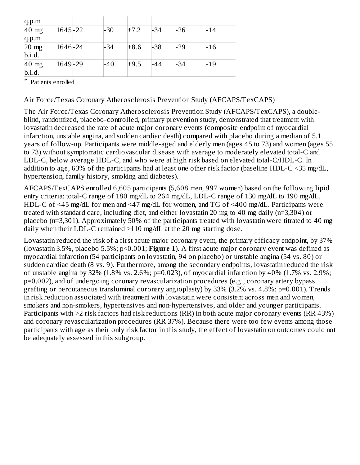| q.p.m.          |             |       |        |       |       |       |
|-----------------|-------------|-------|--------|-------|-------|-------|
| $40$ mg         | $1645 - 22$ | $-30$ | $+7.2$ | $-34$ | $-26$ | $-14$ |
| q.p.m.          |             |       |        |       |       |       |
| $20 \text{ mg}$ | 1646-24     | -34   | $+8.6$ | -38   | $-29$ | -16   |
| b.i.d.          |             |       |        |       |       |       |
| $40$ mg         | 1649-29     | $-40$ | $+9.5$ | -44   | $-34$ | $-19$ |
| b.i.d.          |             |       |        |       |       |       |

\* Patients enrolled

Air Force/Texas Coronary Atherosclerosis Prevention Study (AFCAPS/TexCAPS)

The Air Force/Texas Coronary Atherosclerosis Prevention Study (AFCAPS/TexCAPS), a doubleblind, randomized, placebo-controlled, primary prevention study, demonstrated that treatment with lovastatin decreased the rate of acute major coronary events (composite endpoint of myocardial infarction, unstable angina, and sudden cardiac death) compared with placebo during a median of 5.1 years of follow-up. Participants were middle-aged and elderly men (ages 45 to 73) and women (ages 55 to 73) without symptomatic cardiovascular disease with average to moderately elevated total-C and LDL-C, below average HDL-C, and who were at high risk based on elevated total-C/HDL-C. In addition to age, 63% of the participants had at least one other risk factor (baseline HDL-C <35 mg/dL, hypertension, family history, smoking and diabetes).

AFCAPS/TexCAPS enrolled 6,605 participants (5,608 men, 997 women) based on the following lipid entry criteria: total-C range of 180 mg/dL to 264 mg/dL, LDL-C range of 130 mg/dL to 190 mg/dL, HDL-C of <45 mg/dL for men and <47 mg/dL for women, and TG of <400 mg/dL. Participants were treated with standard care, including diet, and either lovastatin 20 mg to 40 mg daily (n=3,304) or placebo (n=3,301). Approximately 50% of the participants treated with lovastatin were titrated to 40 mg daily when their LDL-C remained >110 mg/dL at the 20 mg starting dose.

Lovastatin reduced the risk of a first acute major coronary event, the primary efficacy endpoint, by 37% (lovastatin 3.5%, placebo 5.5%; p<0.001; **Figure 1**). A first acute major coronary event was defined as myocardial infarction (54 participants on lovastatin, 94 on placebo) or unstable angina (54 vs. 80) or sudden cardiac death (8 vs. 9). Furthermore, among the secondary endpoints, lovastatin reduced the risk of unstable angina by 32% (1.8% vs. 2.6%; p=0.023), of myocardial infarction by 40% (1.7% vs. 2.9%; p=0.002), and of undergoing coronary revascularization procedures (e.g., coronary artery bypass grafting or percutaneous transluminal coronary angioplasty) by 33% (3.2% vs. 4.8%; p=0.001). Trends in risk reduction associated with treatment with lovastatin were consistent across men and women, smokers and non-smokers, hypertensives and non-hypertensives, and older and younger participants. Participants with >2 risk factors had risk reductions (RR) in both acute major coronary events (RR 43%) and coronary revascularization procedures (RR 37%). Because there were too few events among those participants with age as their only risk factor in this study, the effect of lovastatin on outcomes could not be adequately assessed in this subgroup.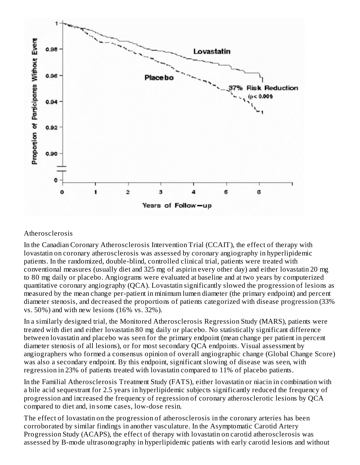

#### Atherosclerosis

In the Canadian Coronary Atherosclerosis Intervention Trial (CCAIT), the effect of therapy with lovastatin on coronary atherosclerosis was assessed by coronary angiography in hyperlipidemic patients. In the randomized, double-blind, controlled clinical trial, patients were treated with conventional measures (usually diet and 325 mg of aspirin every other day) and either lovastatin 20 mg to 80 mg daily or placebo. Angiograms were evaluated at baseline and at two years by computerized quantitative coronary angiography (QCA). Lovastatin significantly slowed the progression of lesions as measured by the mean change per-patient in minimum lumen diameter (the primary endpoint) and percent diameter stenosis, and decreased the proportions of patients categorized with disease progression (33% vs. 50%) and with new lesions (16% vs. 32%).

In a similarly designed trial, the Monitored Atherosclerosis Regression Study (MARS), patients were treated with diet and either lovastatin 80 mg daily or placebo. No statistically significant difference between lovastatin and placebo was seen for the primary endpoint (mean change per patient in percent diameter stenosis of all lesions), or for most secondary QCA endpoints. Visual assessment by angiographers who formed a consensus opinion of overall angiographic change (Global Change Score) was also a secondary endpoint. By this endpoint, significant slowing of disease was seen, with regression in 23% of patients treated with lovastatin compared to 11% of placebo patients.

In the Familial Atherosclerosis Treatment Study (FATS), either lovastatin or niacin in combination with a bile acid sequestrant for 2.5 years in hyperlipidemic subjects significantly reduced the frequency of progression and increased the frequency of regression of coronary atherosclerotic lesions by QCA compared to diet and, in some cases, low-dose resin.

The effect of lovastatin on the progression of atherosclerosis in the coronary arteries has been corroborated by similar findings in another vasculature. In the Asymptomatic Carotid Artery Progression Study (ACAPS), the effect of therapy with lovastatin on carotid atherosclerosis was assessed by B-mode ultrasonography in hyperlipidemic patients with early carotid lesions and without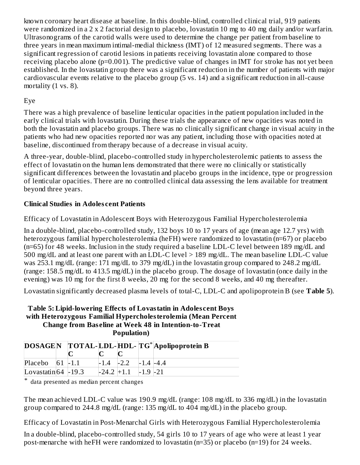known coronary heart disease at baseline. In this double-blind, controlled clinical trial, 919 patients were randomized in a 2 x 2 factorial design to placebo, lovastatin 10 mg to 40 mg daily and/or warfarin. Ultrasonograms of the carotid walls were used to determine the change per patient from baseline to three years in mean maximum intimal-medial thickness (IMT) of 12 measured segments. There was a significant regression of carotid lesions in patients receiving lovastatin alone compared to those receiving placebo alone (p=0.001). The predictive value of changes in IMT for stroke has not yet been established. In the lovastatin group there was a significant reduction in the number of patients with major cardiovascular events relative to the placebo group (5 vs. 14) and a significant reduction in all-cause mortality (1 vs. 8).

#### Eye

There was a high prevalence of baseline lenticular opacities in the patient population included in the early clinical trials with lovastatin. During these trials the appearance of new opacities was noted in both the lovastatin and placebo groups. There was no clinically significant change in visual acuity in the patients who had new opacities reported nor was any patient, including those with opacities noted at baseline, discontinued from therapy because of a decrease in visual acuity.

A three-year, double-blind, placebo-controlled study in hypercholesterolemic patients to assess the effect of lovastatin on the human lens demonstrated that there were no clinically or statistically significant differences between the lovastatin and placebo groups in the incidence, type or progression of lenticular opacities. There are no controlled clinical data assessing the lens available for treatment beyond three years.

## **Clinical Studies in Adoles cent Patients**

Efficacy of Lovastatin in Adolescent Boys with Heterozygous Familial Hypercholesterolemia

In a double-blind, placebo-controlled study, 132 boys 10 to 17 years of age (mean age 12.7 yrs) with heterozygous familial hypercholesterolemia (heFH) were randomized to lovastatin (n=67) or placebo (n=65) for 48 weeks. Inclusion in the study required a baseline LDL-C level between 189 mg/dL and 500 mg/dL and at least one parent with an LDL-C level > 189 mg/dL. The mean baseline LDL-C value was 253.1 mg/dL (range: 171 mg/dL to 379 mg/dL) in the lovastatin group compared to 248.2 mg/dL (range: 158.5 mg/dL to 413.5 mg/dL) in the placebo group. The dosage of lovastatin (once daily in the evening) was 10 mg for the first 8 weeks, 20 mg for the second 8 weeks, and 40 mg thereafter.

Lovastatin significantly decreased plasma levels of total-C, LDL-C and apolipoprotein B (see **Table 5**).

#### **Table 5: Lipid-lowering Effects of Lovastatin in Adoles cent Boys with Heterozygous Familial Hypercholesterolemia (Mean Percent Change from Bas eline at Week 48 in Intention-to-Treat Population)**

|                       |  |               |              | DOSAGEN TOTAL-LDL-HDL-TG* Apolipoprotein B |
|-----------------------|--|---------------|--------------|--------------------------------------------|
|                       |  |               |              |                                            |
| Placebo $ 61 $ -1.1   |  | $-1.4$ $-2.2$ | $-1.4 - 4.4$ |                                            |
| Lovastatin $64$ -19.3 |  | $-24.2$ +1.1  | $-1.9 -21$   |                                            |

\* data presented as median percent changes

The mean achieved LDL-C value was 190.9 mg/dL (range: 108 mg/dL to 336 mg/dL) in the lovastatin group compared to 244.8 mg/dL (range: 135 mg/dL to 404 mg/dL) in the placebo group.

Efficacy of Lovastatin in Post-Menarchal Girls with Heterozygous Familial Hypercholesterolemia

In a double-blind, placebo-controlled study, 54 girls 10 to 17 years of age who were at least 1 year post-menarche with heFH were randomized to lovastatin (n=35) or placebo (n=19) for 24 weeks.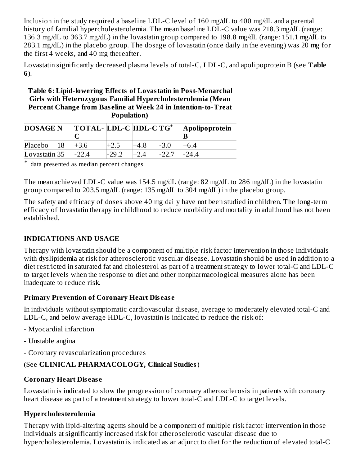Inclusion in the study required a baseline LDL-C level of 160 mg/dL to 400 mg/dL and a parental history of familial hypercholesterolemia. The mean baseline LDL-C value was 218.3 mg/dL (range: 136.3 mg/dL to 363.7 mg/dL) in the lovastatin group compared to 198.8 mg/dL (range: 151.1 mg/dL to 283.1 mg/dL) in the placebo group. The dosage of lovastatin (once daily in the evening) was 20 mg for the first 4 weeks, and 40 mg thereafter.

Lovastatin significantly decreased plasma levels of total-C, LDL-C, and apolipoprotein B (see **Table 6**).

#### **Table 6: Lipid-lowering Effects of Lovastatin in Post-Menarchal Girls with Heterozygous Familial Hypercholesterolemia (Mean Percent Change from Bas eline at Week 24 in Intention-to-Treat Population)**

| <b>DOSAGE</b> N | $\overline{a}$ TOTAL- LDL-C HDL-C $\overline{a}$ |         |        |        | Apolipoprotein |
|-----------------|--------------------------------------------------|---------|--------|--------|----------------|
| Placebo         | $+3.6$                                           |         | $+4.8$ | $-3.0$ | $+6.4$         |
| $Lovastatin$ 35 | $-22.4$                                          | $-29.7$ |        |        | $-24.4$        |

\* data presented as median percent changes

The mean achieved LDL-C value was 154.5 mg/dL (range: 82 mg/dL to 286 mg/dL) in the lovastatin group compared to 203.5 mg/dL (range: 135 mg/dL to 304 mg/dL) in the placebo group.

The safety and efficacy of doses above 40 mg daily have not been studied in children. The long-term efficacy of lovastatin therapy in childhood to reduce morbidity and mortality in adulthood has not been established.

## **INDICATIONS AND USAGE**

Therapy with lovastatin should be a component of multiple risk factor intervention in those individuals with dyslipidemia at risk for atherosclerotic vascular disease. Lovastatin should be used in addition to a diet restricted in saturated fat and cholesterol as part of a treatment strategy to lower total-C and LDL-C to target levels when the response to diet and other nonpharmacological measures alone has been inadequate to reduce risk.

## **Primary Prevention of Coronary Heart Dis eas e**

In individuals without symptomatic cardiovascular disease, average to moderately elevated total-C and LDL-C, and below average HDL-C, lovastatin is indicated to reduce the risk of:

- Myocardial infarction
- Unstable angina
- Coronary revascularization procedures

## (See **CLINICAL PHARMACOLOGY, Clinical Studies**)

## **Coronary Heart Dis eas e**

Lovastatin is indicated to slow the progression of coronary atherosclerosis in patients with coronary heart disease as part of a treatment strategy to lower total-C and LDL-C to target levels.

#### **Hypercholesterolemia**

Therapy with lipid-altering agents should be a component of multiple risk factor intervention in those individuals at significantly increased risk for atherosclerotic vascular disease due to hypercholesterolemia. Lovastatin is indicated as an adjunct to diet for the reduction of elevated total-C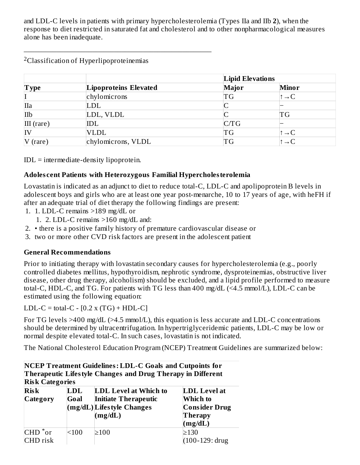and LDL-C levels in patients with primary hypercholesterolemia (Types IIa and IIb **2**), when the response to diet restricted in saturated fat and cholesterol and to other nonpharmacological measures alone has been inadequate.

|              |                       | <b>Lipid Elevations</b> |                          |  |
|--------------|-----------------------|-------------------------|--------------------------|--|
| <b>Type</b>  | Lipoproteins Elevated | <b>Major</b>            | <b>Minor</b>             |  |
|              | chylomicrons          | TG                      | $\uparrow \rightarrow C$ |  |
| IIa          | LDL                   |                         |                          |  |
| IIb          | LDL, VLDL             |                         | ΤG                       |  |
| $III$ (rare) | IDL                   | C/TG                    |                          |  |
| IV           | <b>VLDL</b>           | TG                      | $\rightarrow$ C          |  |
| $V$ (rare)   | chylomicrons, VLDL    | TG                      |                          |  |

<sup>2</sup>Classification of Hyperlipoproteinemias

\_\_\_\_\_\_\_\_\_\_\_\_\_\_\_\_\_\_\_\_\_\_\_\_\_\_\_\_\_\_\_\_\_\_\_\_\_\_\_\_\_\_\_\_\_\_\_\_\_\_\_\_

IDL = intermediate-density lipoprotein.

## **Adoles cent Patients with Heterozygous Familial Hypercholesterolemia**

Lovastatin is indicated as an adjunct to diet to reduce total-C, LDL-C and apolipoprotein B levels in adolescent boys and girls who are at least one year post-menarche, 10 to 17 years of age, with heFH if after an adequate trial of diet therapy the following findings are present:

- 1. 1. LDL-C remains >189 mg/dL or
	- 1. 2. LDL-C remains >160 mg/dL and:
- 2. there is a positive family history of premature cardiovascular disease or
- 3. two or more other CVD risk factors are present in the adolescent patient

# **General Recommendations**

Prior to initiating therapy with lovastatin secondary causes for hypercholesterolemia (e.g., poorly controlled diabetes mellitus, hypothyroidism, nephrotic syndrome, dysproteinemias, obstructive liver disease, other drug therapy, alcoholism) should be excluded, and a lipid profile performed to measure total-C, HDL-C, and TG. For patients with TG less than 400 mg/dL (<4.5 mmol/L), LDL-C can be estimated using the following equation:

LDL-C = total-C -  $[0.2 \times (TG) + HDL-C]$ 

For TG levels >400 mg/dL (>4.5 mmol/L), this equation is less accurate and LDL-C concentrations should be determined by ultracentrifugation. In hypertriglyceridemic patients, LDL-C may be low or normal despite elevated total-C. In such cases, lovastatin is not indicated.

The National Cholesterol Education Program (NCEP) Treatment Guidelines are summarized below:

**NCEP Treatment Guidelines: LDL-C Goals and Cutpoints for Therapeutic Lifestyle Changes and Drug Therapy in Different Risk Categories Risk**  $C_{\text{maxmax}}$ **LDL Goal LDL Level at Which to Initiate Therapeutic LDL Level at Which to**

| $\cup$ dicgul y | wuu   | THURGE THETAPEULL<br>$(mg/dL)$ Lifestyle Changes<br>(mg/dL) | VV IIIUII W<br><b>Consider Drug</b><br><b>Therapy</b><br>(mg/dL) |
|-----------------|-------|-------------------------------------------------------------|------------------------------------------------------------------|
| $CHD^*$ or      | < 100 | $\geq 100$                                                  | >130                                                             |
| CHD risk        |       |                                                             | $(100-129:$ drug                                                 |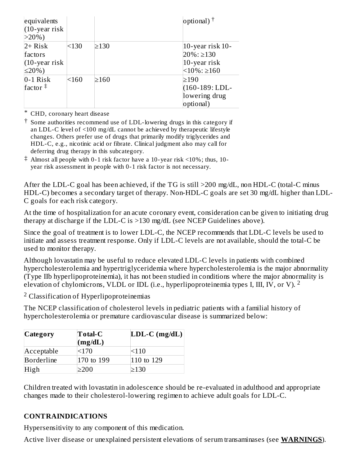| equivalents<br>$(10$ -year risk<br>$>20\%$ )            |       |            | optional) $^{\dagger}$                                                          |
|---------------------------------------------------------|-------|------------|---------------------------------------------------------------------------------|
| $2+$ Risk<br>factors<br>$(10$ -year risk<br>$\leq$ 20%) | < 130 | $\geq$ 130 | 10-year risk 10-<br>$20\%$ : $\geq$ 130<br>10-year risk<br>$<10\%$ : $\geq 160$ |
| $0-1$ Risk<br>factor $\ddagger$                         | < 160 | $\geq 160$ | $\geq$ 190<br>$(160-189; LDL-$<br>lowering drug<br>optional)                    |

\* CHD, coronary heart disease

† Some authorities recommend use of LDL-lowering drugs in this category if an LDL-C level of <100 mg/dL cannot be achieved by therapeutic lifestyle changes. Others prefer use of drugs that primarily modify triglycerides and HDL-C, e.g., nicotinic acid or fibrate. Clinical judgment also may call for deferring drug therapy in this subcategory.

‡ Almost all people with 0-1 risk factor have a 10-year risk <10%; thus, 10 year risk assessment in people with 0-1 risk factor is not necessary.

After the LDL-C goal has been achieved, if the TG is still >200 mg/dL, non HDL-C (total-C minus HDL-C) becomes a secondary target of therapy. Non-HDL-C goals are set 30 mg/dL higher than LDL-C goals for each risk category.

At the time of hospitalization for an acute coronary event, consideration can be given to initiating drug therapy at discharge if the LDL-C is >130 mg/dL (see NCEP Guidelines above).

Since the goal of treatment is to lower LDL-C, the NCEP recommends that LDL-C levels be used to initiate and assess treatment response. Only if LDL-C levels are not available, should the total-C be used to monitor therapy.

Although lovastatin may be useful to reduce elevated LDL-C levels in patients with combined hypercholesterolemia and hypertriglyceridemia where hypercholesterolemia is the major abnormality  $(T$ ype IIb hyperlipoproteinemia), it has not been studied in conditions where the major abnormality is elevation of chylomicrons, VLDL or IDL (i.e., hyperlipoproteinemia types I, III, IV, or V). <sup>2</sup>

 $2$  Classification of Hyperlipoproteinemias

The NCEP classification of cholesterol levels in pediatric patients with a familial history of hypercholesterolemia or premature cardiovascular disease is summarized below:

| Category   | <b>Total-C</b><br>(mg/dL) | $LDL-C (mg/dL)$ |
|------------|---------------------------|-----------------|
| Acceptable | < 170                     | <110            |
| Borderline | 170 to 199                | 110 to 129      |
| High       | >200                      | >130            |

Children treated with lovastatin in adolescence should be re-evaluated in adulthood and appropriate changes made to their cholesterol-lowering regimen to achieve adult goals for LDL-C.

## **CONTRAINDICATIONS**

Hypersensitivity to any component of this medication.

Active liver disease or unexplained persistent elevations of serum transaminases (see **WARNINGS**).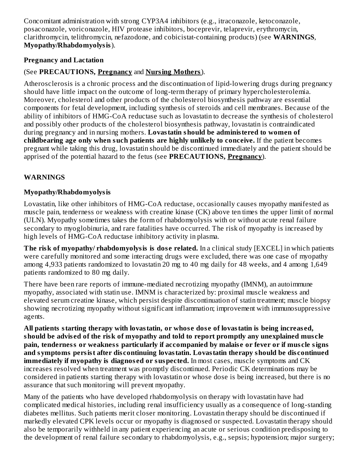Concomitant administration with strong CYP3A4 inhibitors (e.g., itraconazole, ketoconazole, posaconazole, voriconazole, HIV protease inhibitors, boceprevir, telaprevir, erythromycin, clarithromycin, telithromycin, nefazodone, and cobicistat-containing products) (see **WARNINGS**, **Myopathy/Rhabdomyolysis**).

#### **Pregnancy and Lactation**

# (See **PRECAUTIONS, Pregnancy** and **Nursing Mothers**).

Atherosclerosis is a chronic process and the discontinuation of lipid-lowering drugs during pregnancy should have little impact on the outcome of long-term therapy of primary hypercholesterolemia. Moreover, cholesterol and other products of the cholesterol biosynthesis pathway are essential components for fetal development, including synthesis of steroids and cell membranes. Because of the ability of inhibitors of HMG-CoA reductase such as lovastatin to decrease the synthesis of cholesterol and possibly other products of the cholesterol biosynthesis pathway, lovastatin is contraindicated during pregnancy and in nursing mothers. **Lovastatin should be administered to women of childbearing age only when such patients are highly unlikely to conceive.** If the patient becomes pregnant while taking this drug, lovastatin should be discontinued immediately and the patient should be apprised of the potential hazard to the fetus (see **PRECAUTIONS, Pregnancy**).

## **WARNINGS**

## **Myopathy/Rhabdomyolysis**

Lovastatin, like other inhibitors of HMG-CoA reductase, occasionally causes myopathy manifested as muscle pain, tenderness or weakness with creatine kinase (CK) above ten times the upper limit of normal (ULN). Myopathy sometimes takes the form of rhabdomyolysis with or without acute renal failure secondary to myoglobinuria, and rare fatalities have occurred. The risk of myopathy is increased by high levels of HMG-CoA reductase inhibitory activity in plasma.

**The risk of myopathy/ rhabdomyolysis is dos e related.** In a clinical study [EXCEL] in which patients were carefully monitored and some interacting drugs were excluded, there was one case of myopathy among 4,933 patients randomized to lovastatin 20 mg to 40 mg daily for 48 weeks, and 4 among 1,649 patients randomized to 80 mg daily.

There have been rare reports of immune-mediated necrotizing myopathy (IMNM), an autoimmune myopathy, associated with statin use. IMNM is characterized by: proximal muscle weakness and elevated serum creatine kinase, which persist despite discontinuation of statin treatment; muscle biopsy showing necrotizing myopathy without significant inflammation; improvement with immunosuppressive agents.

**All patients starting therapy with lovastatin, or whos e dos e of lovastatin is being increas ed, should be advis ed of the risk of myopathy and told to report promptly any unexplained mus cle pain, tenderness or weakness particularly if accompanied by malais e or fever or if mus cle signs and symptoms persist after dis continuing lovastatin. Lovastatin therapy should be dis continued immediately if myopathy is diagnos ed or suspected.** In most cases, muscle symptoms and CK increases resolved when treatment was promptly discontinued. Periodic CK determinations may be considered in patients starting therapy with lovastatin or whose dose is being increased, but there is no assurance that such monitoring will prevent myopathy.

Many of the patients who have developed rhabdomyolysis on therapy with lovastatin have had complicated medical histories, including renal insufficiency usually as a consequence of long-standing diabetes mellitus. Such patients merit closer monitoring. Lovastatin therapy should be discontinued if markedly elevated CPK levels occur or myopathy is diagnosed or suspected. Lovastatin therapy should also be temporarily withheld in any patient experiencing an acute or serious condition predisposing to the development of renal failure secondary to rhabdomyolysis, e.g., sepsis; hypotension; major surgery;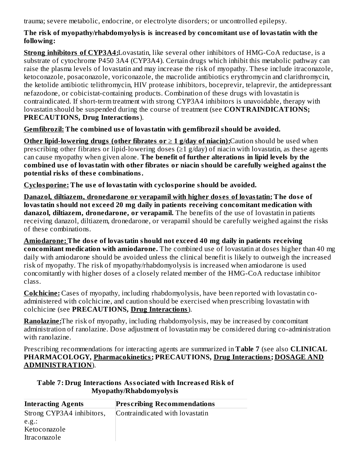trauma; severe metabolic, endocrine, or electrolyte disorders; or uncontrolled epilepsy.

#### **The risk of myopathy/rhabdomyolysis is increas ed by concomitant us e of lovastatin with the following:**

**Strong inhibitors of CYP3A4:**Lovastatin, like several other inhibitors of HMG-CoA reductase, is a substrate of cytochrome P450 3A4 (CYP3A4). Certain drugs which inhibit this metabolic pathway can raise the plasma levels of lovastatin and may increase the risk of myopathy. These include itraconazole, ketoconazole, posaconazole, voriconazole, the macrolide antibiotics erythromycin and clarithromycin, the ketolide antibiotic telithromycin, HIV protease inhibitors, boceprevir, telaprevir, the antidepressant nefazodone, or cobicistat-containing products. Combination of these drugs with lovastatin is contraindicated. If short-term treatment with strong CYP3A4 inhibitors is unavoidable, therapy with lovastatin should be suspended during the course of treatment (see **CONTRAINDICATIONS; PRECAUTIONS, Drug Interactions**).

**Gemfibrozil: The combined us e of lovastatin with gemfibrozil should be avoided.**

**Other lipid-lowering drugs (other fibrates or**  $\geq 1$  **g/day of niacin):** Caution should be used when prescribing other fibrates or lipid-lowering doses ( $\geq$ 1 g/day) of niacin with lovastatin, as these agents can cause myopathy when given alone. **The benefit of further alterations in lipid levels by the combined us e of lovastatin with other fibrates or niacin should be carefully weighed against the potential risks of thes e combinations.**

**Cyclosporine: The us e of lovastatin with cyclosporine should be avoided.**

**Danazol, diltiazem, dronedarone or verapamil with higher dos es of lovastatin: The dos e of lovastatin should not exceed 20 mg daily in patients receiving concomitant medication with danazol, diltiazem, dronedarone, or verapamil.** The benefits of the use of lovastatin in patients receiving danazol, diltiazem, dronedarone, or verapamil should be carefully weighed against the risks of these combinations.

**Amiodarone: The dos e of lovastatin should not exceed 40 mg daily in patients receiving concomitant medication with amiodarone.** The combined use of lovastatin at doses higher than 40 mg daily with amiodarone should be avoided unless the clinical benefit is likely to outweigh the increased risk of myopathy. The risk of myopathy/rhabdomyolysis is increased when amiodarone is used concomitantly with higher doses of a closely related member of the HMG-CoA reductase inhibitor class.

**Colchicine:** Cases of myopathy, including rhabdomyolysis, have been reported with lovastatin coadministered with colchicine, and caution should be exercised when prescribing lovastatin with colchicine (see **PRECAUTIONS, Drug Interactions**).

**Ranolazine:**The risk of myopathy, including rhabdomyolysis, may be increased by concomitant administration of ranolazine. Dose adjustment of lovastatin may be considered during co-administration with ranolazine.

Prescribing recommendations for interacting agents are summarized in **Table 7** (see also **CLINICAL PHARMACOLOGY, Pharmacokinetics; PRECAUTIONS, Drug Interactions; DOSAGE AND ADMINISTRATION**).

| Table 7: Drug Interactions Associated with Increased Risk of |
|--------------------------------------------------------------|
| Myopathy/Rhabdomyolysis                                      |

| <b>Interacting Agents</b> | <b>Prescribing Recommendations</b> |
|---------------------------|------------------------------------|
| Strong CYP3A4 inhibitors, | Contraindicated with lovastatin    |
| e.g.:                     |                                    |
| Ketoconazole              |                                    |
| Itraconazole              |                                    |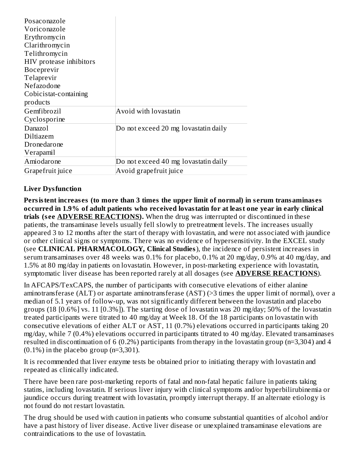| Posaconazole            |                                      |
|-------------------------|--------------------------------------|
| Voriconazole            |                                      |
| Erythromycin            |                                      |
| Clarithromycin          |                                      |
| Telithromycin           |                                      |
| HIV protease inhibitors |                                      |
| <b>Boceprevir</b>       |                                      |
| Telaprevir              |                                      |
| Nefazodone              |                                      |
| Cobicistat-containing   |                                      |
| products                |                                      |
| Gemfibrozil             | Avoid with lovastatin                |
| Cyclosporine            |                                      |
| Danazol                 | Do not exceed 20 mg lovastatin daily |
| Diltiazem               |                                      |
| Dronedarone             |                                      |
| Verapamil               |                                      |
| Amiodarone              | Do not exceed 40 mg lovastatin daily |
| Grapefruit juice        | Avoid grapefruit juice               |

#### **Liver Dysfunction**

**Persistent increas es (to more than 3 times the upper limit of normal) in s erum transaminas es occurred in 1.9% of adult patients who received lovastatin for at least one year in early clinical trials (s ee ADVERSE REACTIONS).** When the drug was interrupted or discontinued in these patients, the transaminase levels usually fell slowly to pretreatment levels. The increases usually appeared 3 to 12 months after the start of therapy with lovastatin, and were not associated with jaundice or other clinical signs or symptoms. There was no evidence of hypersensitivity. In the EXCEL study (see **CLINICAL PHARMACOLOGY, Clinical Studies**), the incidence of persistent increases in serum transaminases over 48 weeks was 0.1% for placebo, 0.1% at 20 mg/day, 0.9% at 40 mg/day, and 1.5% at 80 mg/day in patients on lovastatin. However, in post-marketing experience with lovastatin, symptomatic liver disease has been reported rarely at all dosages (see **ADVERSE REACTIONS**).

In AFCAPS/TexCAPS, the number of participants with consecutive elevations of either alanine aminotransferase (ALT) or aspartate aminotransferase (AST) (>3 times the upper limit of normal), over a median of 5.1 years of follow-up, was not significantly different between the lovastatin and placebo groups (18 [0.6%] vs. 11 [0.3%]). The starting dose of lovastatin was 20 mg/day; 50% of the lovastatin treated participants were titrated to 40 mg/day at Week 18. Of the 18 participants on lovastatin with consecutive elevations of either ALT or AST, 11 (0.7%) elevations occurred in participants taking 20 mg/day, while 7 (0.4%) elevations occurred in participants titrated to 40 mg/day. Elevated transaminases resulted in discontinuation of 6 (0.2%) participants from therapy in the lovastatin group (n=3,304) and 4  $(0.1\%)$  in the placebo group (n=3,301).

It is recommended that liver enzyme tests be obtained prior to initiating therapy with lovastatin and repeated as clinically indicated.

There have been rare post-marketing reports of fatal and non-fatal hepatic failure in patients taking statins, including lovastatin. If serious liver injury with clinical symptoms and/or hyperbilirubinemia or jaundice occurs during treatment with lovastatin, promptly interrupt therapy. If an alternate etiology is not found do not restart lovastatin.

The drug should be used with caution in patients who consume substantial quantities of alcohol and/or have a past history of liver disease. Active liver disease or unexplained transaminase elevations are contraindications to the use of lovastatin.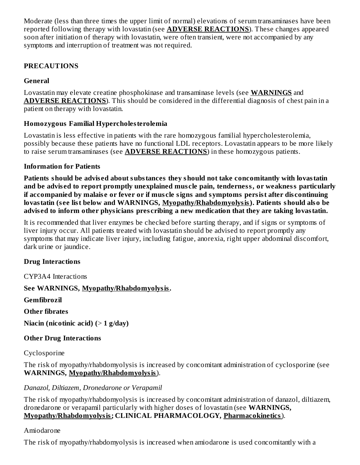Moderate (less than three times the upper limit of normal) elevations of serum transaminases have been reported following therapy with lovastatin (see **ADVERSE REACTIONS**). These changes appeared soon after initiation of therapy with lovastatin, were often transient, were not accompanied by any symptoms and interruption of treatment was not required.

#### **PRECAUTIONS**

#### **General**

Lovastatin may elevate creatine phosphokinase and transaminase levels (see **WARNINGS** and **ADVERSE REACTIONS**). This should be considered in the differential diagnosis of chest pain in a patient on therapy with lovastatin.

#### **Homozygous Familial Hypercholesterolemia**

Lovastatin is less effective in patients with the rare homozygous familial hypercholesterolemia, possibly because these patients have no functional LDL receptors. Lovastatin appears to be more likely to raise serum transaminases (see **ADVERSE REACTIONS**) in these homozygous patients.

#### **Information for Patients**

**Patients should be advis ed about substances they should not take concomitantly with lovastatin and be advis ed to report promptly unexplained mus cle pain, tenderness, or weakness particularly if accompanied by malais e or fever or if mus cle signs and symptoms persist after dis continuing lovastatin (s ee list below and WARNINGS, Myopathy/Rhabdomyolysis). Patients should also be advis ed to inform other physicians pres cribing a new medication that they are taking lovastatin.**

It is recommended that liver enzymes be checked before starting therapy, and if signs or symptoms of liver injury occur. All patients treated with lovastatin should be advised to report promptly any symptoms that may indicate liver injury, including fatigue, anorexia, right upper abdominal discomfort, dark urine or jaundice.

#### **Drug Interactions**

CYP3A4 Interactions

## **See WARNINGS, Myopathy/Rhabdomyolysis.**

**Gemfibrozil**

**Other fibrates**

**Niacin (nicotinic acid) (**> **1 g/day)**

## **Other Drug Interactions**

Cyclosporine

The risk of myopathy/rhabdomyolysis is increased by concomitant administration of cyclosporine (see **WARNINGS, Myopathy/Rhabdomyolysis**).

## *Danazol, Diltiazem, Dronedarone or Verapamil*

The risk of myopathy/rhabdomyolysis is increased by concomitant administration of danazol, diltiazem, dronedarone or verapamil particularly with higher doses of lovastatin (see **WARNINGS, Myopathy/Rhabdomyolysis; CLINICAL PHARMACOLOGY, Pharmacokinetics**).

#### Amiodarone

The risk of myopathy/rhabdomyolysis is increased when amiodarone is used concomitantly with a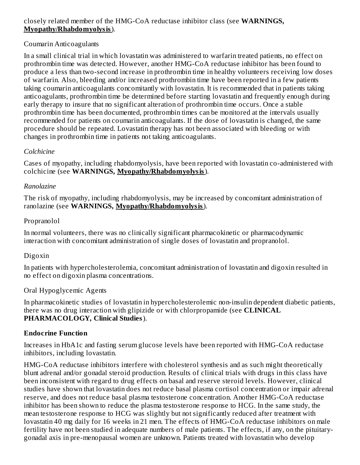#### closely related member of the HMG-CoA reductase inhibitor class (see **WARNINGS, Myopathy/Rhabdomyolysis**).

#### Coumarin Anticoagulants

In a small clinical trial in which lovastatin was administered to warfarin treated patients, no effect on prothrombin time was detected. However, another HMG-CoA reductase inhibitor has been found to produce a less than two-second increase in prothrombin time in healthy volunteers receiving low doses of warfarin. Also, bleeding and/or increased prothrombin time have been reported in a few patients taking coumarin anticoagulants concomitantly with lovastatin. It is recommended that in patients taking anticoagulants, prothrombin time be determined before starting lovastatin and frequently enough during early therapy to insure that no significant alteration of prothrombin time occurs. Once a stable prothrombin time has been documented, prothrombin times can be monitored at the intervals usually recommended for patients on coumarin anticoagulants. If the dose of lovastatin is changed, the same procedure should be repeated. Lovastatin therapy has not been associated with bleeding or with changes in prothrombin time in patients not taking anticoagulants.

#### *Colchicine*

Cases of myopathy, including rhabdomyolysis, have been reported with lovastatin co-administered with colchicine (see **WARNINGS, Myopathy/Rhabdomyolysis**).

#### *Ranolazine*

The risk of myopathy, including rhabdomyolysis, may be increased by concomitant administration of ranolazine (see **WARNINGS, Myopathy/Rhabdomyolysis**).

#### Propranolol

In normal volunteers, there was no clinically significant pharmacokinetic or pharmacodynamic interaction with concomitant administration of single doses of lovastatin and propranolol.

## Digoxin

In patients with hypercholesterolemia, concomitant administration of lovastatin and digoxin resulted in no effect on digoxin plasma concentrations.

## Oral Hypoglycemic Agents

In pharmacokinetic studies of lovastatin in hypercholesterolemic non-insulin dependent diabetic patients, there was no drug interaction with glipizide or with chlorpropamide (see **CLINICAL PHARMACOLOGY, Clinical Studies**).

#### **Endocrine Function**

Increases in HbA1c and fasting serum glucose levels have been reported with HMG-CoA reductase inhibitors, including lovastatin.

HMG-CoA reductase inhibitors interfere with cholesterol synthesis and as such might theoretically blunt adrenal and/or gonadal steroid production. Results of clinical trials with drugs in this class have been inconsistent with regard to drug effects on basal and reserve steroid levels. However, clinical studies have shown that lovastatin does not reduce basal plasma cortisol concentration or impair adrenal reserve, and does not reduce basal plasma testosterone concentration. Another HMG-CoA reductase inhibitor has been shown to reduce the plasma testosterone response to HCG. In the same study, the mean testosterone response to HCG was slightly but not significantly reduced after treatment with lovastatin 40 mg daily for 16 weeks in 21 men. The effects of HMG-CoA reductase inhibitors on male fertility have not been studied in adequate numbers of male patients. The effects, if any, on the pituitarygonadal axis in pre-menopausal women are unknown. Patients treated with lovastatin who develop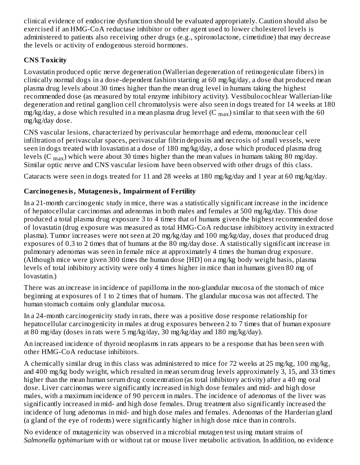clinical evidence of endocrine dysfunction should be evaluated appropriately. Caution should also be exercised if an HMG-CoA reductase inhibitor or other agent used to lower cholesterol levels is administered to patients also receiving other drugs (e.g., spironolactone, cimetidine) that may decrease the levels or activity of endogenous steroid hormones.

# **CNS Toxicity**

Lovastatin produced optic nerve degeneration (Wallerian degeneration of retinogeniculate fibers) in clinically normal dogs in a dose-dependent fashion starting at 60 mg/kg/day, a dose that produced mean plasma drug levels about 30 times higher than the mean drug level in humans taking the highest recommended dose (as measured by total enzyme inhibitory activity). Vestibulocochlear Wallerian-like degeneration and retinal ganglion cell chromatolysis were also seen in dogs treated for 14 weeks at 180 mg/kg/day, a dose which resulted in a mean plasma drug level (C  $_{\rm max}$ ) similar to that seen with the 60 mg/kg/day dose.

CNS vascular lesions, characterized by perivascular hemorrhage and edema, mononuclear cell infiltration of perivascular spaces, perivascular fibrin deposits and necrosis of small vessels, were seen in dogs treated with lovastatin at a dose of 180 mg/kg/day, a dose which produced plasma drug levels (C  $_{\rm max}$ ) which were about 30 times higher than the mean values in humans taking 80 mg/day. Similar optic nerve and CNS vascular lesions have been observed with other drugs of this class.

Cataracts were seen in dogs treated for 11 and 28 weeks at 180 mg/kg/day and 1 year at 60 mg/kg/day.

# **Carcinogenesis, Mutagenesis, Impairment of Fertility**

In a 21-month carcinogenic study in mice, there was a statistically significant increase in the incidence of hepatocellular carcinomas and adenomas in both males and females at 500 mg/kg/day. This dose produced a total plasma drug exposure 3 to 4 times that of humans given the highest recommended dose of lovastatin (drug exposure was measured as total HMG-CoA reductase inhibitory activity in extracted plasma). Tumor increases were not seen at 20 mg/kg/day and 100 mg/kg/day, doses that produced drug exposures of 0.3 to 2 times that of humans at the 80 mg/day dose. A statistically significant increase in pulmonary adenomas was seen in female mice at approximately 4 times the human drug exposure. (Although mice were given 300 times the human dose [HD] on a mg/kg body weight basis, plasma levels of total inhibitory activity were only 4 times higher in mice than in humans given 80 mg of lovastatin.)

There was an increase in incidence of papilloma in the non-glandular mucosa of the stomach of mice beginning at exposures of 1 to 2 times that of humans. The glandular mucosa was not affected. The human stomach contains only glandular mucosa.

In a 24-month carcinogenicity study in rats, there was a positive dose response relationship for hepatocellular carcinogenicity in males at drug exposures between 2 to 7 times that of human exposure at 80 mg/day (doses in rats were 5 mg/kg/day, 30 mg/kg/day and 180 mg/kg/day).

An increased incidence of thyroid neoplasms in rats appears to be a response that has been seen with other HMG-CoA reductase inhibitors.

A chemically similar drug in this class was administered to mice for 72 weeks at 25 mg/kg, 100 mg/kg, and 400 mg/kg body weight, which resulted in mean serum drug levels approximately 3, 15, and 33 times higher than the mean human serum drug concentration (as total inhibitory activity) after a 40 mg oral dose. Liver carcinomas were significantly increased in high dose females and mid- and high dose males, with a maximum incidence of 90 percent in males. The incidence of adenomas of the liver was significantly increased in mid- and high dose females. Drug treatment also significantly increased the incidence of lung adenomas in mid- and high dose males and females. Adenomas of the Harderian gland (a gland of the eye of rodents) were significantly higher in high dose mice than in controls.

No evidence of mutagenicity was observed in a microbial mutagen test using mutant strains of *Salmonella typhimurium* with or without rat or mouse liver metabolic activation. In addition, no evidence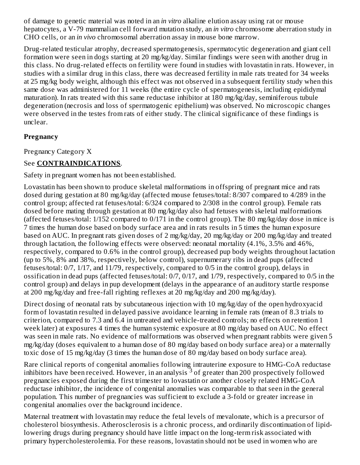of damage to genetic material was noted in an *in vitro* alkaline elution assay using rat or mouse hepatocytes, a V-79 mammalian cell forward mutation study, an *in vitro* chromosome aberration study in CHO cells, or an *in vivo* chromosomal aberration assay in mouse bone marrow.

Drug-related testicular atrophy, decreased spermatogenesis, spermatocytic degeneration and giant cell formation were seen in dogs starting at 20 mg/kg/day. Similar findings were seen with another drug in this class. No drug-related effects on fertility were found in studies with lovastatin in rats. However, in studies with a similar drug in this class, there was decreased fertility in male rats treated for 34 weeks at 25 mg/kg body weight, although this effect was not observed in a subsequent fertility study when this same dose was administered for 11 weeks (the entire cycle of spermatogenesis, including epididymal maturation). In rats treated with this same reductase inhibitor at 180 mg/kg/day, seminiferous tubule degeneration (necrosis and loss of spermatogenic epithelium) was observed. No microscopic changes were observed in the testes from rats of either study. The clinical significance of these findings is unclear.

#### **Pregnancy**

Pregnancy Category X

# See **CONTRAINDICATIONS**.

Safety in pregnant women has not been established.

Lovastatin has been shown to produce skeletal malformations in offspring of pregnant mice and rats dosed during gestation at 80 mg/kg/day (affected mouse fetuses/total: 8/307 compared to 4/289 in the control group; affected rat fetuses/total: 6/324 compared to 2/308 in the control group). Female rats dosed before mating through gestation at 80 mg/kg/day also had fetuses with skeletal malformations (affected fetuses/total: 1/152 compared to 0/171 in the control group). The 80 mg/kg/day dose in mice is 7 times the human dose based on body surface area and in rats results in 5 times the human exposure based on AUC. In pregnant rats given doses of 2 mg/kg/day, 20 mg/kg/day or 200 mg/kg/day and treated through lactation, the following effects were observed: neonatal mortality (4.1%, 3.5% and 46%, respectively, compared to 0.6% in the control group), decreased pup body weights throughout lactation (up to 5%, 8% and 38%, respectively, below control), supernumerary ribs in dead pups (affected fetuses/total: 0/7, 1/17, and 11/79, respectively, compared to 0/5 in the control group), delays in ossification in dead pups (affected fetuses/total: 0/7, 0/17, and 1/79, respectively, compared to 0/5 in the control group) and delays in pup development (delays in the appearance of an auditory startle response at 200 mg/kg/day and free-fall righting reflexes at 20 mg/kg/day and 200 mg/kg/day).

Direct dosing of neonatal rats by subcutaneous injection with 10 mg/kg/day of the open hydroxyacid form of lovastatin resulted in delayed passive avoidance learning in female rats (mean of 8.3 trials to criterion, compared to 7.3 and 6.4 in untreated and vehicle-treated controls; no effects on retention 1 week later) at exposures 4 times the human systemic exposure at 80 mg/day based on AUC. No effect was seen in male rats. No evidence of malformations was observed when pregnant rabbits were given 5 mg/kg/day (doses equivalent to a human dose of 80 mg/day based on body surface area) or a maternally toxic dose of 15 mg/kg/day (3 times the human dose of 80 mg/day based on body surface area).

Rare clinical reports of congenital anomalies following intrauterine exposure to HMG-CoA reductase inhibitors have been received. However, in an analysis  $^3$  of greater than 200 prospectively followed pregnancies exposed during the first trimester to lovastatin or another closely related HMG-CoA reductase inhibitor, the incidence of congenital anomalies was comparable to that seen in the general population. This number of pregnancies was sufficient to exclude a 3-fold or greater increase in congenital anomalies over the background incidence.

Maternal treatment with lovastatin may reduce the fetal levels of mevalonate, which is a precursor of cholesterol biosynthesis. Atherosclerosis is a chronic process, and ordinarily discontinuation of lipidlowering drugs during pregnancy should have little impact on the long-term risk associated with primary hypercholesterolemia. For these reasons, lovastatin should not be used in women who are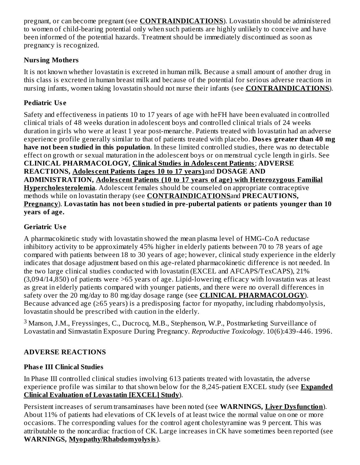pregnant, or can become pregnant (see **CONTRAINDICATIONS**). Lovastatin should be administered to women of child-bearing potential only when such patients are highly unlikely to conceive and have been informed of the potential hazards. Treatment should be immediately discontinued as soon as pregnancy is recognized.

# **Nursing Mothers**

It is not known whether lovastatin is excreted in human milk. Because a small amount of another drug in this class is excreted in human breast milk and because of the potential for serious adverse reactions in nursing infants, women taking lovastatin should not nurse their infants (see **CONTRAINDICATIONS**).

# **Pediatric Us e**

Safety and effectiveness in patients 10 to 17 years of age with heFH have been evaluated in controlled clinical trials of 48 weeks duration in adolescent boys and controlled clinical trials of 24 weeks duration in girls who were at least 1 year post-menarche. Patients treated with lovastatin had an adverse experience profile generally similar to that of patients treated with placebo. **Dos es greater than 40 mg have not been studied in this population**. In these limited controlled studies, there was no detectable effect on growth or sexual maturation in the adolescent boys or on menstrual cycle length in girls. See **CLINICAL PHARMACOLOGY, Clinical Studies in Adoles cent Patients**; **ADVERSE REACTIONS, Adoles cent Patients (ages 10 to 17 years)**and **DOSAGE AND ADMINISTRATION, Adoles cent Patients (10 to 17 years of age) with Heterozygous Familial Hypercholesterolemia**. Adolescent females should be counseled on appropriate contraceptive methods while on lovastatin therapy (see **CONTRAINDICATIONS**and **PRECAUTIONS, Pregnancy**). **Lovastatin has not been studied in pre-pubertal patients or patients younger than 10 years of age.**

# **Geriatric Us e**

A pharmacokinetic study with lovastatin showed the mean plasma level of HMG-CoA reductase inhibitory activity to be approximately 45% higher in elderly patients between 70 to 78 years of age compared with patients between 18 to 30 years of age; however, clinical study experience in the elderly indicates that dosage adjustment based on this age-related pharmacokinetic difference is not needed. In the two large clinical studies conducted with lovastatin (EXCEL and AFCAPS/TexCAPS), 21% (3,094/14,850) of patients were >65 years of age. Lipid-lowering efficacy with lovastatin was at least as great in elderly patients compared with younger patients, and there were no overall differences in safety over the 20 mg/day to 80 mg/day dosage range (see **CLINICAL PHARMACOLOGY**). Because advanced age (≥65 years) is a predisposing factor for myopathy, including rhabdomyolysis, lovastatin should be prescribed with caution in the elderly.

 $3$  Manson, J.M., Freyssinges, C., Ducrocq, M.B., Stephenson, W.P., Postmarketing Surveillance of Lovastatin and Simvastatin Exposure During Pregnancy. *Reproductive Toxicology*. 10(6):439-446. 1996.

# **ADVERSE REACTIONS**

# **Phas e III Clinical Studies**

In Phase III controlled clinical studies involving 613 patients treated with lovastatin, the adverse experience profile was similar to that shown below for the 8,245-patient EXCEL study (see **Expanded Clinical Evaluation of Lovastatin [EXCEL] Study**).

Persistent increases of serum transaminases have been noted (see **WARNINGS, Liver Dysfunction**). About 11% of patients had elevations of CK levels of at least twice the normal value on one or more occasions. The corresponding values for the control agent cholestyramine was 9 percent. This was attributable to the noncardiac fraction of CK. Large increases in CK have sometimes been reported (see **WARNINGS, Myopathy/Rhabdomyolysis**).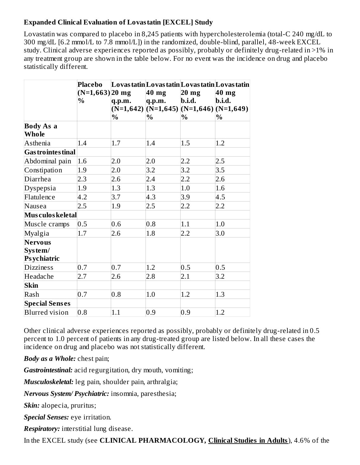#### **Expanded Clinical Evaluation of Lovastatin [EXCEL] Study**

Lovastatin was compared to placebo in 8,245 patients with hypercholesterolemia (total-C 240 mg/dL to 300 mg/dL [6.2 mmol/L to 7.8 mmol/L]) in the randomized, double-blind, parallel, 48-week EXCEL study. Clinical adverse experiences reported as possibly, probably or definitely drug-related in >1% in any treatment group are shown in the table below. For no event was the incidence on drug and placebo statistically different.

|                           | Placebo            |        |                                           |                 | Lovas tatin Lovas tatin Lovas tatin Lovas tatin |
|---------------------------|--------------------|--------|-------------------------------------------|-----------------|-------------------------------------------------|
|                           | $(N=1,663)$  20 mg |        | $40$ mg                                   | $20 \text{ mg}$ | 40 mg                                           |
|                           | $\%$               | q.p.m. | q.p.m.                                    | b.i.d.          | b.i.d.                                          |
|                           |                    |        | $(N=1,642)$ (N=1,645) (N=1,646) (N=1,649) |                 |                                                 |
|                           |                    | $\%$   | $\%$                                      | $\%$            | $\%$                                            |
| <b>Body As a</b>          |                    |        |                                           |                 |                                                 |
| Whole                     |                    |        |                                           |                 |                                                 |
| Asthenia                  | 1.4                | 1.7    | 1.4                                       | 1.5             | 1.2                                             |
| <b>Gas trointes tinal</b> |                    |        |                                           |                 |                                                 |
| Abdominal pain            | 1.6                | 2.0    | 2.0                                       | 2.2             | 2.5                                             |
| Constipation              | 1.9                | 2.0    | 3.2                                       | 3.2             | 3.5                                             |
| Diarrhea                  | 2.3                | 2.6    | 2.4                                       | 2.2             | 2.6                                             |
| Dyspepsia                 | 1.9                | 1.3    | 1.3                                       | 1.0             | 1.6                                             |
| Flatulence                | 4.2                | 3.7    | $ 4.3\rangle$                             | 3.9             | 4.5                                             |
| Nausea                    | 2.5                | 1.9    | 2.5                                       | 2.2             | 2.2                                             |
| Mus culos keletal         |                    |        |                                           |                 |                                                 |
| Muscle cramps             | 0.5                | 0.6    | 0.8                                       | 1.1             | 1.0                                             |
| Myalgia                   | 1.7                | 2.6    | 1.8                                       | 2.2             | 3.0                                             |
| Nervous                   |                    |        |                                           |                 |                                                 |
| System/                   |                    |        |                                           |                 |                                                 |
| <b>Psychiatric</b>        |                    |        |                                           |                 |                                                 |
| <b>Dizziness</b>          | 0.7                | 0.7    | 1.2                                       | 0.5             | 0.5                                             |
| Headache                  | 2.7                | 2.6    | 2.8                                       | 2.1             | 3.2                                             |
| <b>Skin</b>               |                    |        |                                           |                 |                                                 |
| Rash                      | 0.7                | 0.8    | 1.0                                       | 1.2             | 1.3                                             |
| <b>Special Senses</b>     |                    |        |                                           |                 |                                                 |
| <b>Blurred</b> vision     | 0.8                | 1.1    | 0.9                                       | 0.9             | 1.2                                             |

Other clinical adverse experiences reported as possibly, probably or definitely drug-related in 0.5 percent to 1.0 percent of patients in any drug-treated group are listed below. In all these cases the incidence on drug and placebo was not statistically different.

*Body as a Whole:* chest pain;

*Gastrointestinal:* acid regurgitation, dry mouth, vomiting;

*Musculoskeletal:* leg pain, shoulder pain, arthralgia;

*Nervous System/ Psychiatric:* insomnia, paresthesia;

*Skin:* alopecia, pruritus;

*Special Senses:* eye irritation.

*Respiratory:* interstitial lung disease.

In the EXCEL study (see **CLINICAL PHARMACOLOGY, Clinical Studies in Adults**), 4.6% of the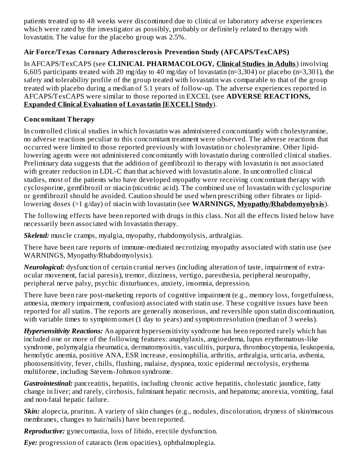patients treated up to 48 weeks were discontinued due to clinical or laboratory adverse experiences which were rated by the investigator as possibly, probably or definitely related to therapy with lovastatin. The value for the placebo group was 2.5%.

## **Air Force/Texas Coronary Atheros clerosis Prevention Study (AFCAPS/TexCAPS)**

In AFCAPS/TexCAPS (see **CLINICAL PHARMACOLOGY, Clinical Studies in Adults**) involving 6,605 participants treated with 20 mg/day to 40 mg/day of lovastatin (n=3,304) or placebo (n=3,301), the safety and tolerability profile of the group treated with lovastatin was comparable to that of the group treated with placebo during a median of 5.1 years of follow-up. The adverse experiences reported in AFCAPS/TexCAPS were similar to those reported in EXCEL (see **ADVERSE REACTIONS, Expanded Clinical Evaluation of Lovastatin [EXCEL] Study**).

#### **Concomitant Therapy**

In controlled clinical studies in which lovastatin was administered concomitantly with cholestyramine, no adverse reactions peculiar to this concomitant treatment were observed. The adverse reactions that occurred were limited to those reported previously with lovastatin or cholestyramine. Other lipidlowering agents were not administered concomitantly with lovastatin during controlled clinical studies. Preliminary data suggests that the addition of gemfibrozil to therapy with lovastatin is not associated with greater reduction in LDL-C than that achieved with lovastatin alone. In uncontrolled clinical studies, most of the patients who have developed myopathy were receiving concomitant therapy with cyclosporine, gemfibrozil or niacin (nicotinic acid). The combined use of lovastatin with cyclosporine or gemfibrozil should be avoided. Caution should be used when prescribing other fibrates or lipidlowering doses (>1 g/day) of niacin with lovastatin (see **WARNINGS, Myopathy/Rhabdomyolysis**).

The following effects have been reported with drugs in this class. Not all the effects listed below have necessarily been associated with lovastatin therapy.

*Skeletal:* muscle cramps, myalgia, myopathy, rhabdomyolysis, arthralgias.

There have been rare reports of immune-mediated necrotizing myopathy associated with statin use (see WARNINGS, Myopathy/Rhabdomyolysis).

*Neurological:* dysfunction of certain cranial nerves (including alteration of taste, impairment of extraocular movement, facial paresis), tremor, dizziness, vertigo, paresthesia, peripheral neuropathy, peripheral nerve palsy, psychic disturbances, anxiety, insomnia, depression.

There have been rare post-marketing reports of cognitive impairment (e.g., memory loss, forgetfulness, amnesia, memory impairment, confusion) associated with statin use. These cognitive issues have been reported for all statins. The reports are generally nonserious, and reversible upon statin discontinuation, with variable times to symptom onset (1 day to years) and symptom resolution (median of 3 weeks).

*Hypersensitivity Reactions:* An apparent hypersensitivity syndrome has been reported rarely which has included one or more of the following features: anaphylaxis, angioedema, lupus erythematous-like syndrome, polymyalgia rheumatica, dermatomyositis, vasculitis, purpura, thrombocytopenia, leukopenia, hemolytic anemia, positive ANA, ESR increase, eosinophilia, arthritis, arthralgia, urticaria, asthenia, photosensitivity, fever, chills, flushing, malaise, dyspnea, toxic epidermal necrolysis, erythema multiforme, including Stevens-Johnson syndrome.

*Gastrointestinal:* pancreatitis, hepatitis, including chronic active hepatitis, cholestatic jaundice, fatty change in liver; and rarely, cirrhosis, fulminant hepatic necrosis, and hepatoma; anorexia, vomiting, fatal and non-fatal hepatic failure.

*Skin:* alopecia, pruritus. A variety of skin changes (e.g., nodules, discoloration, dryness of skin/mucous membranes, changes to hair/nails) have been reported.

*Reproductive:* gynecomastia, loss of libido, erectile dysfunction.

*Eye:* progression of cataracts (lens opacities), ophthalmoplegia.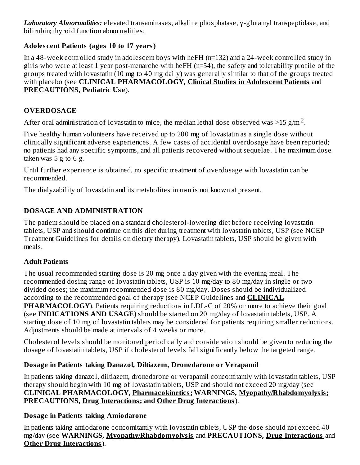*Laboratory Abnormalities:* elevated transaminases, alkaline phosphatase, γ-glutamyl transpeptidase, and bilirubin; thyroid function abnormalities.

## **Adoles cent Patients (ages 10 to 17 years)**

In a 48-week controlled study in adolescent boys with heFH (n=132) and a 24-week controlled study in girls who were at least 1 year post-menarche with heFH (n=54), the safety and tolerability profile of the groups treated with lovastatin (10 mg to 40 mg daily) was generally similar to that of the groups treated with placebo (see **CLINICAL PHARMACOLOGY, Clinical Studies in Adoles cent Patients** and **PRECAUTIONS, Pediatric Us e**).

## **OVERDOSAGE**

After oral administration of lovastatin to mice, the median lethal dose observed was >15 g/m  $^2$ .

Five healthy human volunteers have received up to 200 mg of lovastatin as a single dose without clinically significant adverse experiences. A few cases of accidental overdosage have been reported; no patients had any specific symptoms, and all patients recovered without sequelae. The maximum dose taken was  $5$  g to  $6$  g.

Until further experience is obtained, no specific treatment of overdosage with lovastatin can be recommended.

The dialyzability of lovastatin and its metabolites in man is not known at present.

## **DOSAGE AND ADMINISTRATION**

The patient should be placed on a standard cholesterol-lowering diet before receiving lovastatin tablets, USP and should continue on this diet during treatment with lovastatin tablets, USP (see NCEP Treatment Guidelines for details on dietary therapy). Lovastatin tablets, USP should be given with meals.

## **Adult Patients**

The usual recommended starting dose is 20 mg once a day given with the evening meal. The recommended dosing range of lovastatin tablets, USP is 10 mg/day to 80 mg/day in single or two divided doses; the maximum recommended dose is 80 mg/day. Doses should be individualized according to the recommended goal of therapy (see NCEP Guidelines and **CLINICAL PHARMACOLOGY**). Patients requiring reductions in LDL-C of 20% or more to achieve their goal (see **INDICATIONS AND USAGE**) should be started on 20 mg/day of lovastatin tablets, USP. A starting dose of 10 mg of lovastatin tablets may be considered for patients requiring smaller reductions. Adjustments should be made at intervals of 4 weeks or more.

Cholesterol levels should be monitored periodically and consideration should be given to reducing the dosage of lovastatin tablets, USP if cholesterol levels fall significantly below the targeted range.

## **Dosage in Patients taking Danazol, Diltiazem, Dronedarone or Verapamil**

In patients taking danazol, diltiazem, dronedarone or verapamil concomitantly with lovastatin tablets, USP therapy should begin with 10 mg of lovastatin tablets, USP and should not exceed 20 mg/day (see **CLINICAL PHARMACOLOGY, Pharmacokinetics; WARNINGS, Myopathy/Rhabdomyolysis; PRECAUTIONS, Drug Interactions; and Other Drug Interactions**).

## **Dosage in Patients taking Amiodarone**

In patients taking amiodarone concomitantly with lovastatin tablets, USP the dose should not exceed 40 mg/day (see **WARNINGS, Myopathy/Rhabdomyolysis** and **PRECAUTIONS, Drug Interactions** and **Other Drug Interactions**).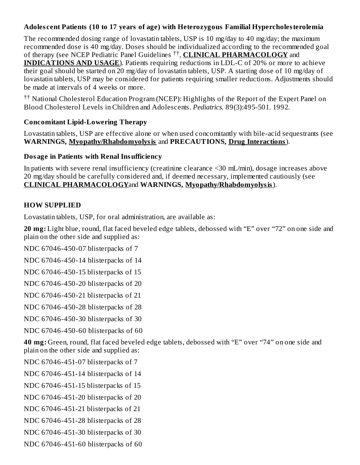#### **Adoles cent Patients (10 to 17 years of age) with Heterozygous Familial Hypercholesterolemia**

The recommended dosing range of lovastatin tablets, USP is 10 mg/day to 40 mg/day; the maximum recommended dose is 40 mg/day. Doses should be individualized according to the recommended goal of therapy (see NCEP Pediatric Panel Guidelines <sup>††</sup>, **CLINICAL PHARMACOLOGY** and **INDICATIONS AND USAGE**). Patients requiring reductions in LDL-C of 20% or more to achieve their goal should be started on 20 mg/day of lovastatin tablets, USP. A starting dose of 10 mg/day of lovastatin tablets, USP may be considered for patients requiring smaller reductions. Adjustments should be made at intervals of 4 weeks or more.

<sup>††</sup> National Cholesterol Education Program (NCEP): Highlights of the Report of the Expert Panel on Blood Cholesterol Levels in Children and Adolescents. *Pediatrics.* 89(3):495-501. 1992.

#### **Concomitant Lipid-Lowering Therapy**

Lovastatin tablets, USP are effective alone or when used concomitantly with bile-acid sequestrants (see **WARNINGS, Myopathy/Rhabdomyolysis** and **PRECAUTIONS, Drug Interactions**).

#### **Dosage in Patients with Renal Insufficiency**

In patients with severe renal insufficiency (creatinine clearance <30 mL/min), dosage increases above 20 mg/day should be carefully considered and, if deemed necessary, implemented cautiously (see **CLINICAL PHARMACOLOGY**and **WARNINGS, Myopathy/Rhabdomyolysis**).

## **HOW SUPPLIED**

Lovastatin tablets, USP, for oral administration, are available as:

**20 mg:** Light blue, round, flat faced beveled edge tablets, debossed with "E" over "72" on one side and plain on the other side and supplied as:

NDC 67046-450-07 blisterpacks of 7

NDC 67046-450-14 blisterpacks of 14

NDC 67046-450-15 blisterpacks of 15

NDC 67046-450-20 blisterpacks of 20

NDC 67046-450-21 blisterpacks of 21

NDC 67046-450-28 blisterpacks of 28

NDC 67046-450-30 blisterpacks of 30

NDC 67046-450-60 blisterpacks of 60

**40 mg:** Green, round, flat faced beveled edge tablets, debossed with "E" over "74" on one side and plain on the other side and supplied as:

NDC 67046-451-07 blisterpacks of 7

NDC 67046-451-14 blisterpacks of 14

NDC 67046-451-15 blisterpacks of 15

NDC 67046-451-20 blisterpacks of 20

NDC 67046-451-21 blisterpacks of 21

NDC 67046-451-28 blisterpacks of 28

NDC 67046-451-30 blisterpacks of 30

NDC 67046-451-60 blisterpacks of 60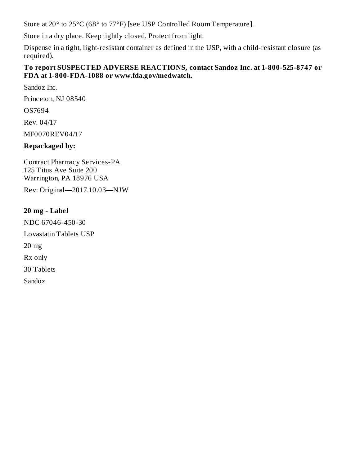Store at 20° to 25°C (68° to 77°F) [see USP Controlled Room Temperature].

Store in a dry place. Keep tightly closed. Protect from light.

Dispense in a tight, light-resistant container as defined in the USP, with a child-resistant closure (as required).

#### **To report SUSPECTED ADVERSE REACTIONS, contact Sandoz Inc. at 1-800-525-8747 or FDA at 1-800-FDA-1088 or www.fda.gov/medwatch.**

Sandoz Inc.

Princeton, NJ 08540

OS7694

Rev. 04/17

MF0070REV04/17

## **Repackaged by:**

Contract Pharmacy Services-PA 125 Titus Ave Suite 200 Warrington, PA 18976 USA

Rev: Original—2017.10.03—NJW

## **20 mg - Label**

NDC 67046-450-30 Lovastatin Tablets USP 20 mg Rx only 30 Tablets Sandoz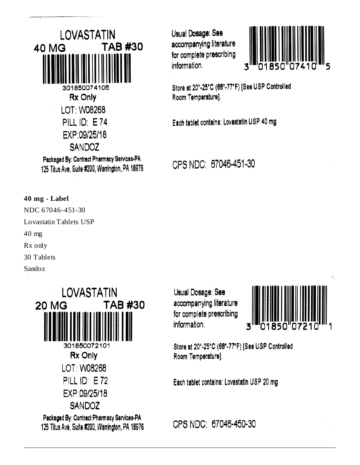LOVASTATIN **TAB #30 40 MG** 301850074105 Rx Only LOT: W08268 PILL ID: E74 EXP:09/25/18 **SANDOZ** Packaged By: Contract Pharmacy Services-PA

125 Titus Ave, Suite #200, Warrington, PA 18976

Usual Dosage: See accompanying literature for complete prescribing information.



Store at 20°-25°C (68°-77°F) [See USP Controlled Room Temperature].

Each tablet contains: Lovastatin USP 40 mg

CPS NDC: 67046-451-30

**40 mg - Label** NDC 67046-451-30 Lovastatin Tablets USP 40 mg Rx only 30 Tablets Sandoz



Usual Dosage: See accompanying literature for complete prescribing information.



Store at 20°-25°C (68°-77°F) [See USP Controlled Room Temperature].

Each tablet contains: Lovastatin USP 20 mg

CPS NDC: 67046-450-30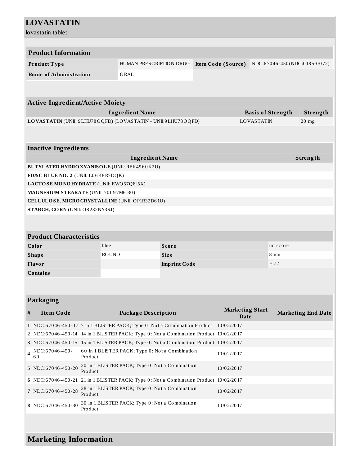| <b>LOVASTATIN</b>                                                                     |                                                                                       |                                                 |                     |  |                                                 |                          |          |                           |
|---------------------------------------------------------------------------------------|---------------------------------------------------------------------------------------|-------------------------------------------------|---------------------|--|-------------------------------------------------|--------------------------|----------|---------------------------|
| lovastatin tablet                                                                     |                                                                                       |                                                 |                     |  |                                                 |                          |          |                           |
|                                                                                       |                                                                                       |                                                 |                     |  |                                                 |                          |          |                           |
| <b>Product Information</b>                                                            |                                                                                       |                                                 |                     |  |                                                 |                          |          |                           |
| Product Type                                                                          |                                                                                       | HUMAN PRESCRIPTION DRUG                         |                     |  | Item Code (Source) NDC:67046-450(NDC:0185-0072) |                          |          |                           |
| <b>Route of Administration</b>                                                        |                                                                                       | ORAL                                            |                     |  |                                                 |                          |          |                           |
|                                                                                       |                                                                                       |                                                 |                     |  |                                                 |                          |          |                           |
|                                                                                       |                                                                                       |                                                 |                     |  |                                                 |                          |          |                           |
| <b>Active Ingredient/Active Moiety</b>                                                |                                                                                       |                                                 |                     |  |                                                 |                          |          |                           |
|                                                                                       |                                                                                       | <b>Ingredient Name</b>                          |                     |  |                                                 | <b>Basis of Strength</b> |          | Strength                  |
| LOVASTATIN (UNII: 9LHU78OQFD) (LOVASTATIN - UNII:9LHU78OQFD)                          |                                                                                       |                                                 |                     |  |                                                 | <b>LOVASTATIN</b>        |          | $20$ mg                   |
|                                                                                       |                                                                                       |                                                 |                     |  |                                                 |                          |          |                           |
| <b>Inactive Ingredients</b>                                                           |                                                                                       |                                                 |                     |  |                                                 |                          |          |                           |
|                                                                                       |                                                                                       | <b>Ingredient Name</b>                          |                     |  |                                                 |                          |          | Strength                  |
| <b>BUTYLATED HYDRO XYANISOLE (UNII: REK4960K2U)</b>                                   |                                                                                       |                                                 |                     |  |                                                 |                          |          |                           |
| FD&C BLUE NO. 2 (UNII: L06K8R7DQK)                                                    |                                                                                       |                                                 |                     |  |                                                 |                          |          |                           |
| LACTOSE MONOHYDRATE (UNII: EWQ57Q8I5X)                                                |                                                                                       |                                                 |                     |  |                                                 |                          |          |                           |
| MAGNESIUM STEARATE (UNII: 70097M6I30)                                                 |                                                                                       |                                                 |                     |  |                                                 |                          |          |                           |
| CELLULOSE, MICRO CRYSTALLINE (UNII: OP1R32D61U)                                       |                                                                                       |                                                 |                     |  |                                                 |                          |          |                           |
| STARCH, CORN (UNII: O8232NY3SJ)                                                       |                                                                                       |                                                 |                     |  |                                                 |                          |          |                           |
|                                                                                       |                                                                                       |                                                 |                     |  |                                                 |                          |          |                           |
| <b>Product Characteristics</b>                                                        |                                                                                       |                                                 |                     |  |                                                 |                          |          |                           |
| Color                                                                                 | blue                                                                                  |                                                 | <b>Score</b>        |  |                                                 |                          | no score |                           |
| <b>Shape</b>                                                                          | <b>ROUND</b>                                                                          |                                                 | <b>Size</b>         |  |                                                 | 8mm                      |          |                           |
| Flavor                                                                                |                                                                                       |                                                 | <b>Imprint Code</b> |  | E;72                                            |                          |          |                           |
| <b>Contains</b>                                                                       |                                                                                       |                                                 |                     |  |                                                 |                          |          |                           |
|                                                                                       |                                                                                       |                                                 |                     |  |                                                 |                          |          |                           |
|                                                                                       |                                                                                       |                                                 |                     |  |                                                 |                          |          |                           |
| Packaging                                                                             |                                                                                       |                                                 |                     |  |                                                 |                          |          |                           |
| $\#$<br><b>Item Code</b>                                                              |                                                                                       | <b>Package Description</b>                      |                     |  | <b>Marketing Start</b><br><b>Date</b>           |                          |          | <b>Marketing End Date</b> |
| 1 NDC:67046-450-07 7 in 1 BLISTER PACK; Type 0: Not a Combination Product             |                                                                                       |                                                 |                     |  | 10/02/2017                                      |                          |          |                           |
| 2 NDC:67046-450-14 14 in 1 BLISTER PACK; Type 0: Not a Combination Product 10/02/2017 |                                                                                       |                                                 |                     |  |                                                 |                          |          |                           |
| 3 NDC:67046-450-15 15 in 1 BLISTER PACK; Type 0: Not a Combination Product 10/02/2017 |                                                                                       |                                                 |                     |  |                                                 |                          |          |                           |
| NDC:67046-450-<br>$\overline{\mathbf{4}}$<br>60                                       | Product                                                                               | 60 in 1 BLISTER PACK; Type 0: Not a Combination |                     |  | 10/02/2017                                      |                          |          |                           |
| 5 NDC:67046-450-20                                                                    | 20 in 1 BLISTER PACK; Type 0: Not a Combination<br>Product                            |                                                 |                     |  | 10/02/2017                                      |                          |          |                           |
|                                                                                       | 6 NDC:67046-450-21 21 in 1 BLISTER PACK; Type 0: Not a Combination Product 10/02/2017 |                                                 |                     |  |                                                 |                          |          |                           |
| 7 NDC:67046-450-28                                                                    | 28 in 1 BLISTER PACK; Type 0: Not a Combination<br>Product                            |                                                 |                     |  | 10/02/2017                                      |                          |          |                           |
| 8 NDC:67046-450-30                                                                    | 30 in 1 BLISTER PACK; Type 0: Not a Combination<br>Product                            |                                                 |                     |  | 10/02/2017                                      |                          |          |                           |
|                                                                                       |                                                                                       |                                                 |                     |  |                                                 |                          |          |                           |
| <b>Marketing Information</b>                                                          |                                                                                       |                                                 |                     |  |                                                 |                          |          |                           |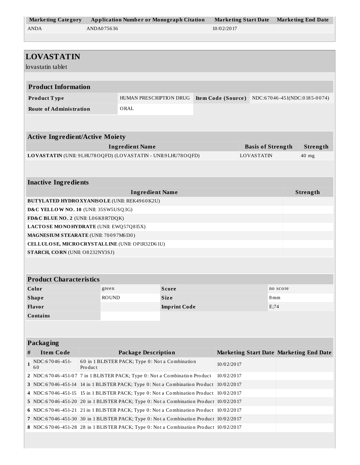| <b>Marketing Category</b> | <b>Application Number or Monograph Citation</b> | Marketing Start Date | Marketing End Date |
|---------------------------|-------------------------------------------------|----------------------|--------------------|
| ANDA                      | ANDA075636                                      | 10/02/2017           |                    |

|              | <b>LOVASTATIN</b>                                                                     |                                                                                         |                                                                                                                                                                                |                     |  |                    |                          |          |                                                |
|--------------|---------------------------------------------------------------------------------------|-----------------------------------------------------------------------------------------|--------------------------------------------------------------------------------------------------------------------------------------------------------------------------------|---------------------|--|--------------------|--------------------------|----------|------------------------------------------------|
|              | lovastatin tablet                                                                     |                                                                                         |                                                                                                                                                                                |                     |  |                    |                          |          |                                                |
|              |                                                                                       |                                                                                         |                                                                                                                                                                                |                     |  |                    |                          |          |                                                |
|              | <b>Product Information</b>                                                            |                                                                                         |                                                                                                                                                                                |                     |  |                    |                          |          |                                                |
|              | Product Type                                                                          |                                                                                         | HUMAN PRESCRIPTION DRUG                                                                                                                                                        |                     |  | Item Code (Source) |                          |          | NDC:67046-451(NDC:0185-0074)                   |
|              | <b>Route of Administration</b>                                                        |                                                                                         | ORAL                                                                                                                                                                           |                     |  |                    |                          |          |                                                |
|              |                                                                                       |                                                                                         |                                                                                                                                                                                |                     |  |                    |                          |          |                                                |
|              |                                                                                       |                                                                                         |                                                                                                                                                                                |                     |  |                    |                          |          |                                                |
|              | <b>Active Ingredient/Active Moiety</b>                                                |                                                                                         |                                                                                                                                                                                |                     |  |                    |                          |          |                                                |
|              |                                                                                       |                                                                                         | <b>Ingredient Name</b>                                                                                                                                                         |                     |  |                    | <b>Basis of Strength</b> |          | Strength                                       |
|              |                                                                                       |                                                                                         | LOVASTATIN (UNII: 9LHU78OQFD) (LOVASTATIN - UNII:9LHU78OQFD)                                                                                                                   |                     |  |                    | LOVASTATIN               |          | $40$ mg                                        |
|              |                                                                                       |                                                                                         |                                                                                                                                                                                |                     |  |                    |                          |          |                                                |
|              |                                                                                       |                                                                                         |                                                                                                                                                                                |                     |  |                    |                          |          |                                                |
|              | <b>Inactive Ingredients</b>                                                           |                                                                                         |                                                                                                                                                                                |                     |  |                    |                          |          |                                                |
|              |                                                                                       |                                                                                         | <b>Ingredient Name</b>                                                                                                                                                         |                     |  |                    |                          |          | Strength                                       |
|              |                                                                                       |                                                                                         | <b>BUTYLATED HYDRO XYANISOLE (UNII: REK4960K2U)</b>                                                                                                                            |                     |  |                    |                          |          |                                                |
|              | D&C YELLOW NO. 10 (UNII: 35SW5USQ3G)                                                  |                                                                                         |                                                                                                                                                                                |                     |  |                    |                          |          |                                                |
|              | FD&C BLUE NO. 2 (UNII: L06K8R7DQK)                                                    |                                                                                         |                                                                                                                                                                                |                     |  |                    |                          |          |                                                |
|              | LACTOSE MONOHYDRATE (UNII: EWQ57Q8I5X)                                                |                                                                                         |                                                                                                                                                                                |                     |  |                    |                          |          |                                                |
|              | MAGNESIUM STEARATE (UNII: 70097M6I30)                                                 |                                                                                         |                                                                                                                                                                                |                     |  |                    |                          |          |                                                |
|              |                                                                                       |                                                                                         | CELLULOSE, MICRO CRYSTALLINE (UNII: OP1R32D61U)                                                                                                                                |                     |  |                    |                          |          |                                                |
|              | STARCH, CORN (UNII: O8232NY3SJ)                                                       |                                                                                         |                                                                                                                                                                                |                     |  |                    |                          |          |                                                |
|              |                                                                                       |                                                                                         |                                                                                                                                                                                |                     |  |                    |                          |          |                                                |
|              | <b>Product Characteristics</b>                                                        |                                                                                         |                                                                                                                                                                                |                     |  |                    |                          |          |                                                |
|              |                                                                                       |                                                                                         |                                                                                                                                                                                |                     |  |                    |                          |          |                                                |
|              | Color                                                                                 | green                                                                                   |                                                                                                                                                                                | <b>Score</b>        |  |                    |                          | no score |                                                |
|              | <b>Shape</b>                                                                          | <b>ROUND</b>                                                                            |                                                                                                                                                                                | <b>Size</b>         |  | 8 mm<br>E;74       |                          |          |                                                |
|              | Flavor                                                                                |                                                                                         |                                                                                                                                                                                | <b>Imprint Code</b> |  |                    |                          |          |                                                |
|              | Contains                                                                              |                                                                                         |                                                                                                                                                                                |                     |  |                    |                          |          |                                                |
|              |                                                                                       |                                                                                         |                                                                                                                                                                                |                     |  |                    |                          |          |                                                |
|              | <b>Packaging</b>                                                                      |                                                                                         |                                                                                                                                                                                |                     |  |                    |                          |          |                                                |
| #            | <b>Item Code</b>                                                                      |                                                                                         | <b>Package Description</b>                                                                                                                                                     |                     |  |                    |                          |          | <b>Marketing Start Date Marketing End Date</b> |
|              | NDC:67046-451-                                                                        |                                                                                         |                                                                                                                                                                                |                     |  |                    |                          |          |                                                |
| $\mathbf{1}$ | 60                                                                                    | 60 in 1 BLISTER PACK; Type 0: Not a Combination<br>Pro duct                             |                                                                                                                                                                                |                     |  | 10/02/2017         |                          |          |                                                |
|              |                                                                                       | 2 NDC:67046-451-07 7 in 1 BLISTER PACK; Type 0: Not a Combination Product               |                                                                                                                                                                                |                     |  | 10/02/2017         |                          |          |                                                |
|              |                                                                                       | 3 NDC:67046-451-14 14 in 1 BLISTER PACK; Type 0: Not a Combination Product 10/02/2017   |                                                                                                                                                                                |                     |  |                    |                          |          |                                                |
| 4            |                                                                                       | NDC:67046-451-15   15 in 1 BLISTER PACK; Type 0: Not a Combination Product   10/02/2017 |                                                                                                                                                                                |                     |  |                    |                          |          |                                                |
|              | 5 NDC:67046-451-20 20 in 1 BLISTER PACK; Type 0: Not a Combination Product 10/02/2017 |                                                                                         |                                                                                                                                                                                |                     |  |                    |                          |          |                                                |
|              | 6 NDC:67046-451-21 21 in 1 BLISTER PACK; Type 0: Not a Combination Product 10/02/2017 |                                                                                         |                                                                                                                                                                                |                     |  |                    |                          |          |                                                |
|              |                                                                                       |                                                                                         |                                                                                                                                                                                |                     |  |                    |                          |          |                                                |
|              |                                                                                       |                                                                                         | 7 NDC:67046-451-30 30 in 1 BLISTER PACK; Type 0: Not a Combination Product 10/02/2017<br>8 NDC:67046-451-28 28 in 1 BLISTER PACK; Type 0: Not a Combination Product 10/02/2017 |                     |  |                    |                          |          |                                                |